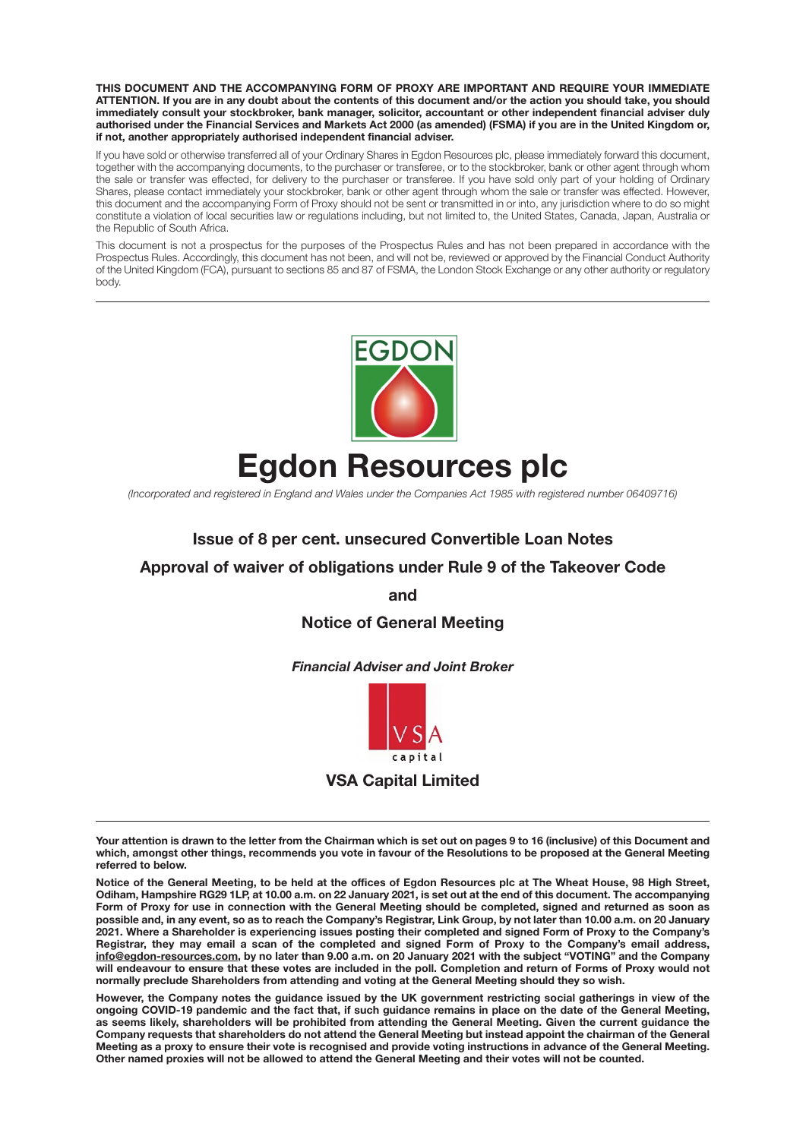**THIS DOCUMENT AND THE ACCOMPANYING FORM OF PROXY ARE IMPORTANT AND REQUIRE YOUR IMMEDIATE ATTENTION. If you are in any doubt about the contents of this document and/or the action you should take, you should immediately consult your stockbroker, bank manager, solicitor, accountant or other independent financial adviser duly authorised under the Financial Services and Markets Act 2000 (as amended) (FSMA) if you are in the United Kingdom or, if not, another appropriately authorised independent financial adviser.**

If you have sold or otherwise transferred all of your Ordinary Shares in Egdon Resources plc, please immediately forward this document, together with the accompanying documents, to the purchaser or transferee, or to the stockbroker, bank or other agent through whom the sale or transfer was effected, for delivery to the purchaser or transferee. If you have sold only part of your holding of Ordinary Shares, please contact immediately your stockbroker, bank or other agent through whom the sale or transfer was effected. However, this document and the accompanying Form of Proxy should not be sent or transmitted in or into, any jurisdiction where to do so might constitute a violation of local securities law or regulations including, but not limited to, the United States, Canada, Japan, Australia or the Republic of South Africa.

This document is not a prospectus for the purposes of the Prospectus Rules and has not been prepared in accordance with the Prospectus Rules. Accordingly, this document has not been, and will not be, reviewed or approved by the Financial Conduct Authority of the United Kingdom (FCA), pursuant to sections 85 and 87 of FSMA, the London Stock Exchange or any other authority or regulatory body.



# **Egdon Resources plc**

*(Incorporated and registered in England and Wales under the Companies Act 1985 with registered number 06409716)* 

# **Issue of 8 per cent. unsecured Convertible Loan Notes**

#### **Approval of waiver of obligations under Rule 9 of the Takeover Code**

**and** 

#### **Notice of General Meeting**

*Financial Adviser and Joint Broker* 



**VSA Capital Limited** 

**However, the Company notes the guidance issued by the UK government restricting social gatherings in view of the ongoing COVID-19 pandemic and the fact that, if such guidance remains in place on the date of the General Meeting, as seems likely, shareholders will be prohibited from attending the General Meeting. Given the current guidance the Company requests that shareholders do not attend the General Meeting but instead appoint the chairman of the General Meeting as a proxy to ensure their vote is recognised and provide voting instructions in advance of the General Meeting. Other named proxies will not be allowed to attend the General Meeting and their votes will not be counted.** 

**Your attention is drawn to the letter from the Chairman which is set out on pages 9 to 16 (inclusive) of this Document and which, amongst other things, recommends you vote in favour of the Resolutions to be proposed at the General Meeting referred to below.** 

**Notice of the General Meeting, to be held at the offices of Egdon Resources plc at The Wheat House, 98 High Street, Odiham, Hampshire RG29 1LP, at 10.00 a.m. on 22 January 2021, is set out at the end of this document. The accompanying Form of Proxy for use in connection with the General Meeting should be completed, signed and returned as soon as possible and, in any event, so as to reach the Company's Registrar, Link Group, by not later than 10.00 a.m. on 20 January 2021. Where a Shareholder is experiencing issues posting their completed and signed Form of Proxy to the Company's Registrar, they may email a scan of the completed and signed Form of Proxy to the Company's email address, info@egdon-resources.com, by no later than 9.00 a.m. on 20 January 2021 with the subject "VOTING" and the Company will endeavour to ensure that these votes are included in the poll. Completion and return of Forms of Proxy would not normally preclude Shareholders from attending and voting at the General Meeting should they so wish.**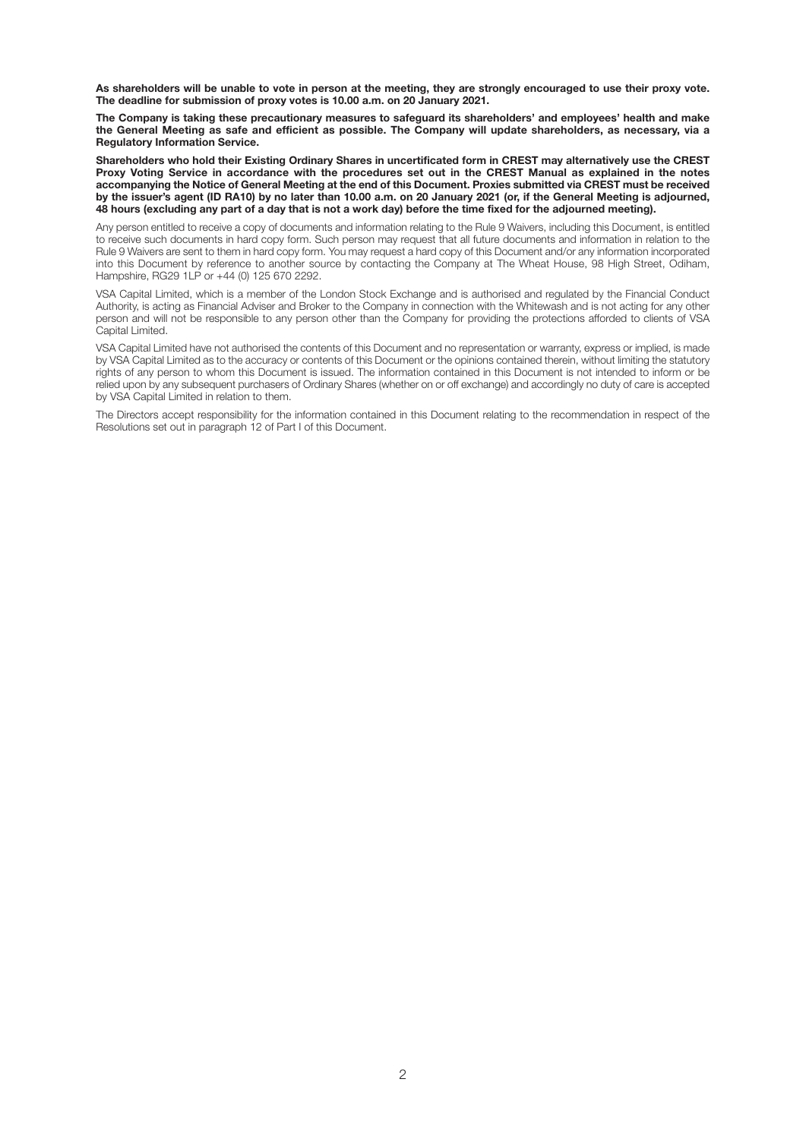**As shareholders will be unable to vote in person at the meeting, they are strongly encouraged to use their proxy vote. The deadline for submission of proxy votes is 10.00 a.m. on 20 January 2021.** 

**The Company is taking these precautionary measures to safeguard its shareholders' and employees' health and make the General Meeting as safe and efficient as possible. The Company will update shareholders, as necessary, via a Regulatory Information Service.** 

**Shareholders who hold their Existing Ordinary Shares in uncertificated form in CREST may alternatively use the CREST Proxy Voting Service in accordance with the procedures set out in the CREST Manual as explained in the notes accompanying the Notice of General Meeting at the end of this Document. Proxies submitted via CREST must be received by the issuer's agent (ID RA10) by no later than 10.00 a.m. on 20 January 2021 (or, if the General Meeting is adjourned, 48 hours (excluding any part of a day that is not a work day) before the time fixed for the adjourned meeting).** 

Any person entitled to receive a copy of documents and information relating to the Rule 9 Waivers, including this Document, is entitled to receive such documents in hard copy form. Such person may request that all future documents and information in relation to the Rule 9 Waivers are sent to them in hard copy form. You may request a hard copy of this Document and/or any information incorporated into this Document by reference to another source by contacting the Company at The Wheat House, 98 High Street, Odiham, Hampshire, RG29 1LP or +44 (0) 125 670 2292.

VSA Capital Limited, which is a member of the London Stock Exchange and is authorised and regulated by the Financial Conduct Authority, is acting as Financial Adviser and Broker to the Company in connection with the Whitewash and is not acting for any other person and will not be responsible to any person other than the Company for providing the protections afforded to clients of VSA Capital Limited.

VSA Capital Limited have not authorised the contents of this Document and no representation or warranty, express or implied, is made by VSA Capital Limited as to the accuracy or contents of this Document or the opinions contained therein, without limiting the statutory rights of any person to whom this Document is issued. The information contained in this Document is not intended to inform or be relied upon by any subsequent purchasers of Ordinary Shares (whether on or off exchange) and accordingly no duty of care is accepted by VSA Capital Limited in relation to them.

The Directors accept responsibility for the information contained in this Document relating to the recommendation in respect of the Resolutions set out in paragraph 12 of Part I of this Document.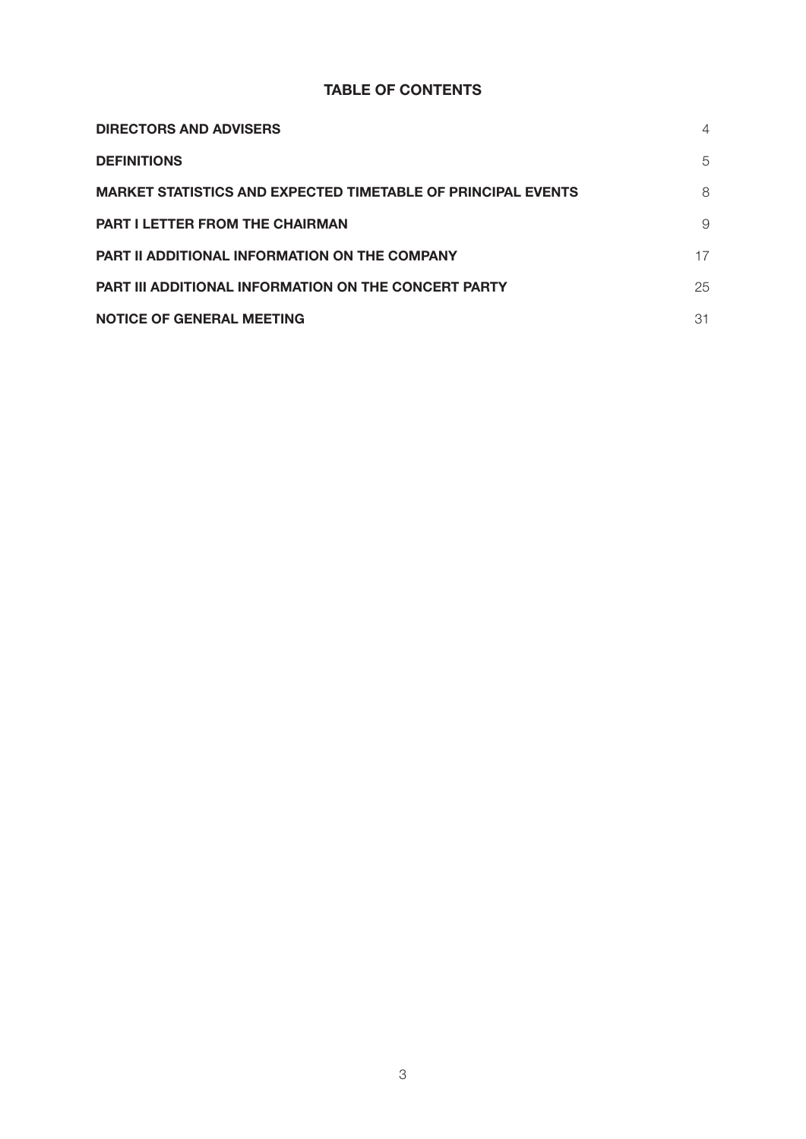# **TABLE OF CONTENTS**

| <b>DIRECTORS AND ADVISERS</b>                                       | 4  |
|---------------------------------------------------------------------|----|
| <b>DEFINITIONS</b>                                                  | 5  |
| <b>MARKET STATISTICS AND EXPECTED TIMETABLE OF PRINCIPAL EVENTS</b> | 8  |
| <b>PART I LETTER FROM THE CHAIRMAN</b>                              | 9  |
| <b>PART II ADDITIONAL INFORMATION ON THE COMPANY</b>                | 17 |
| <b>PART III ADDITIONAL INFORMATION ON THE CONCERT PARTY</b>         | 25 |
| <b>NOTICE OF GENERAL MEETING</b>                                    | 31 |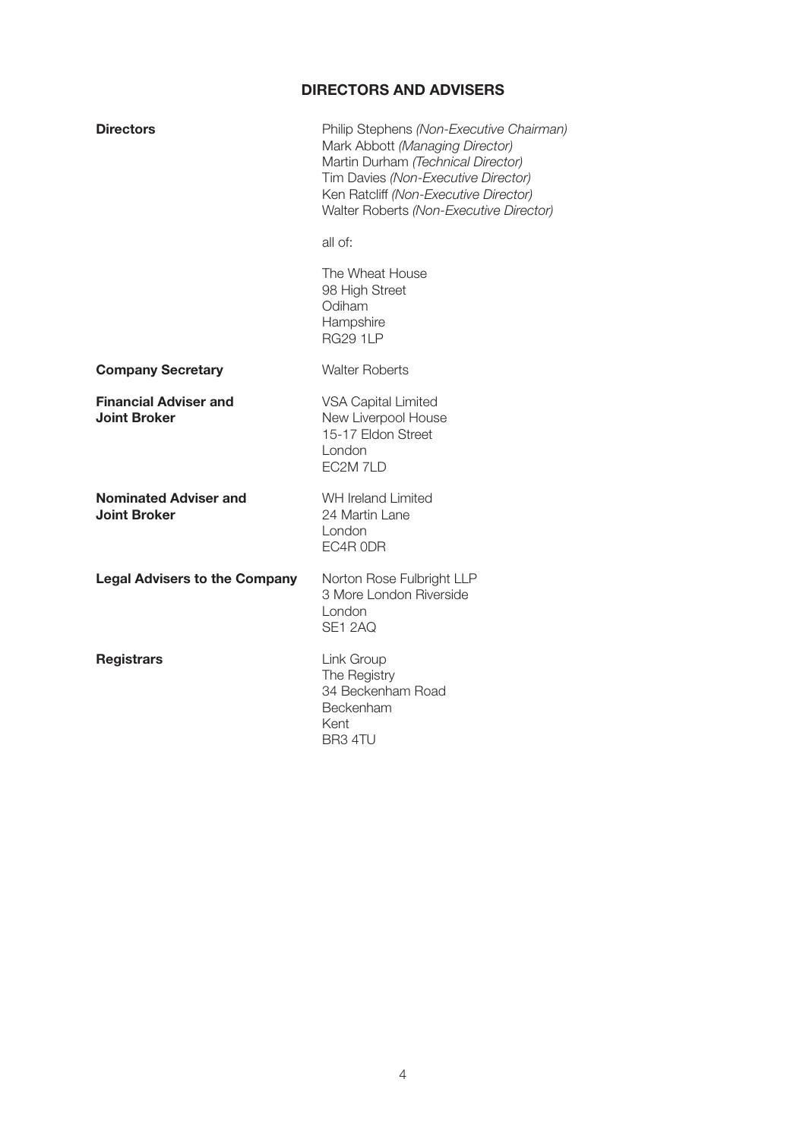# **DIRECTORS AND ADVISERS**

| <b>Directors</b>                                    | Philip Stephens (Non-Executive Chairman)<br>Mark Abbott (Managing Director)<br>Martin Durham (Technical Director)<br>Tim Davies (Non-Executive Director)<br>Ken Ratcliff (Non-Executive Director)<br>Walter Roberts (Non-Executive Director) |
|-----------------------------------------------------|----------------------------------------------------------------------------------------------------------------------------------------------------------------------------------------------------------------------------------------------|
|                                                     | all of:                                                                                                                                                                                                                                      |
|                                                     | The Wheat House<br>98 High Street<br>Odiham<br>Hampshire<br><b>RG29 1LP</b>                                                                                                                                                                  |
| <b>Company Secretary</b>                            | <b>Walter Roberts</b>                                                                                                                                                                                                                        |
| <b>Financial Adviser and</b><br><b>Joint Broker</b> | <b>VSA Capital Limited</b><br>New Liverpool House<br>15-17 Eldon Street<br>London<br>EC2M 7LD                                                                                                                                                |
| <b>Nominated Adviser and</b><br><b>Joint Broker</b> | <b>WH Ireland Limited</b><br>24 Martin Lane<br>London<br>EC4R ODR                                                                                                                                                                            |
| <b>Legal Advisers to the Company</b>                | Norton Rose Fulbright LLP<br>3 More London Riverside<br>London<br>SE1 2AQ                                                                                                                                                                    |
| <b>Registrars</b>                                   | Link Group<br>The Registry<br>34 Beckenham Road<br>Beckenham<br>Kent<br>BR <sub>3</sub> 4TU                                                                                                                                                  |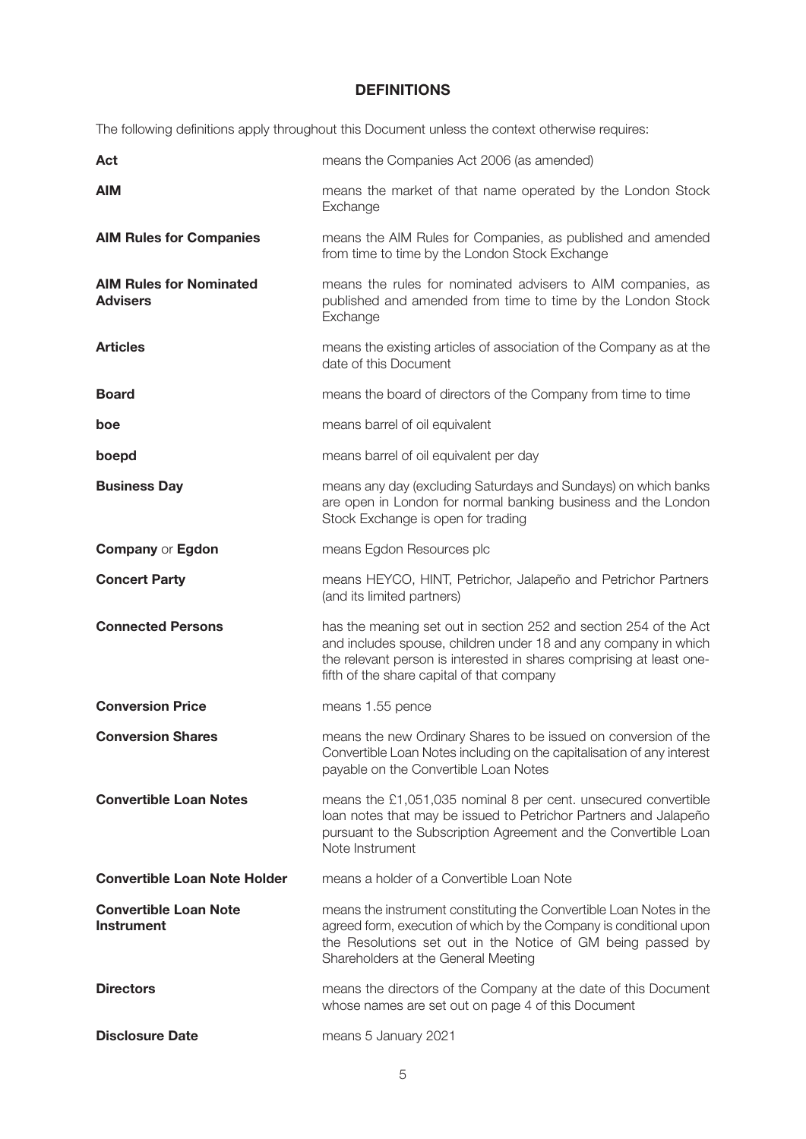# **DEFINITIONS**

The following definitions apply throughout this Document unless the context otherwise requires:

| Act                                               | means the Companies Act 2006 (as amended)                                                                                                                                                                                                                  |
|---------------------------------------------------|------------------------------------------------------------------------------------------------------------------------------------------------------------------------------------------------------------------------------------------------------------|
| <b>AIM</b>                                        | means the market of that name operated by the London Stock<br>Exchange                                                                                                                                                                                     |
| <b>AIM Rules for Companies</b>                    | means the AIM Rules for Companies, as published and amended<br>from time to time by the London Stock Exchange                                                                                                                                              |
| <b>AIM Rules for Nominated</b><br><b>Advisers</b> | means the rules for nominated advisers to AIM companies, as<br>published and amended from time to time by the London Stock<br>Exchange                                                                                                                     |
| <b>Articles</b>                                   | means the existing articles of association of the Company as at the<br>date of this Document                                                                                                                                                               |
| <b>Board</b>                                      | means the board of directors of the Company from time to time                                                                                                                                                                                              |
| boe                                               | means barrel of oil equivalent                                                                                                                                                                                                                             |
| boepd                                             | means barrel of oil equivalent per day                                                                                                                                                                                                                     |
| <b>Business Day</b>                               | means any day (excluding Saturdays and Sundays) on which banks<br>are open in London for normal banking business and the London<br>Stock Exchange is open for trading                                                                                      |
| <b>Company or Egdon</b>                           | means Egdon Resources plc                                                                                                                                                                                                                                  |
| <b>Concert Party</b>                              | means HEYCO, HINT, Petrichor, Jalapeño and Petrichor Partners<br>(and its limited partners)                                                                                                                                                                |
| <b>Connected Persons</b>                          | has the meaning set out in section 252 and section 254 of the Act<br>and includes spouse, children under 18 and any company in which<br>the relevant person is interested in shares comprising at least one-<br>fifth of the share capital of that company |
| <b>Conversion Price</b>                           | means 1.55 pence                                                                                                                                                                                                                                           |
| <b>Conversion Shares</b>                          | means the new Ordinary Shares to be issued on conversion of the<br>Convertible Loan Notes including on the capitalisation of any interest<br>payable on the Convertible Loan Notes                                                                         |
| <b>Convertible Loan Notes</b>                     | means the £1,051,035 nominal 8 per cent. unsecured convertible<br>loan notes that may be issued to Petrichor Partners and Jalapeño<br>pursuant to the Subscription Agreement and the Convertible Loan<br>Note Instrument                                   |
| <b>Convertible Loan Note Holder</b>               | means a holder of a Convertible Loan Note                                                                                                                                                                                                                  |
| <b>Convertible Loan Note</b><br><b>Instrument</b> | means the instrument constituting the Convertible Loan Notes in the<br>agreed form, execution of which by the Company is conditional upon<br>the Resolutions set out in the Notice of GM being passed by<br>Shareholders at the General Meeting            |
| <b>Directors</b>                                  | means the directors of the Company at the date of this Document<br>whose names are set out on page 4 of this Document                                                                                                                                      |
| <b>Disclosure Date</b>                            | means 5 January 2021                                                                                                                                                                                                                                       |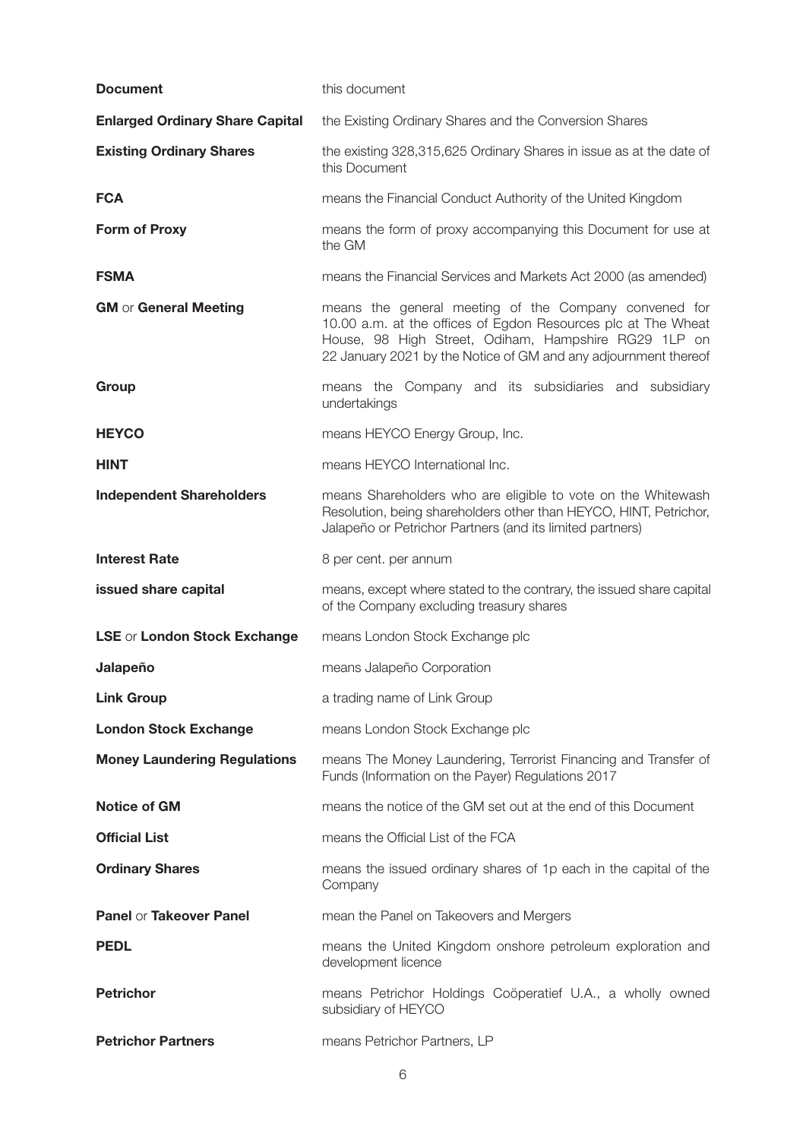| <b>Document</b>                        | this document                                                                                                                                                                                                                                     |
|----------------------------------------|---------------------------------------------------------------------------------------------------------------------------------------------------------------------------------------------------------------------------------------------------|
| <b>Enlarged Ordinary Share Capital</b> | the Existing Ordinary Shares and the Conversion Shares                                                                                                                                                                                            |
| <b>Existing Ordinary Shares</b>        | the existing 328,315,625 Ordinary Shares in issue as at the date of<br>this Document                                                                                                                                                              |
| <b>FCA</b>                             | means the Financial Conduct Authority of the United Kingdom                                                                                                                                                                                       |
| <b>Form of Proxy</b>                   | means the form of proxy accompanying this Document for use at<br>the GM                                                                                                                                                                           |
| <b>FSMA</b>                            | means the Financial Services and Markets Act 2000 (as amended)                                                                                                                                                                                    |
| <b>GM</b> or General Meeting           | means the general meeting of the Company convened for<br>10.00 a.m. at the offices of Egdon Resources plc at The Wheat<br>House, 98 High Street, Odiham, Hampshire RG29 1LP on<br>22 January 2021 by the Notice of GM and any adjournment thereof |
| Group                                  | means the Company and its subsidiaries and subsidiary<br>undertakings                                                                                                                                                                             |
| <b>HEYCO</b>                           | means HEYCO Energy Group, Inc.                                                                                                                                                                                                                    |
| <b>HINT</b>                            | means HEYCO International Inc.                                                                                                                                                                                                                    |
| <b>Independent Shareholders</b>        | means Shareholders who are eligible to vote on the Whitewash<br>Resolution, being shareholders other than HEYCO, HINT, Petrichor,<br>Jalapeño or Petrichor Partners (and its limited partners)                                                    |
| <b>Interest Rate</b>                   | 8 per cent. per annum                                                                                                                                                                                                                             |
| issued share capital                   | means, except where stated to the contrary, the issued share capital<br>of the Company excluding treasury shares                                                                                                                                  |
| LSE or London Stock Exchange           | means London Stock Exchange plc                                                                                                                                                                                                                   |
| Jalapeño                               | means Jalapeño Corporation                                                                                                                                                                                                                        |
| <b>Link Group</b>                      | a trading name of Link Group                                                                                                                                                                                                                      |
| <b>London Stock Exchange</b>           | means London Stock Exchange plc                                                                                                                                                                                                                   |
| <b>Money Laundering Regulations</b>    | means The Money Laundering, Terrorist Financing and Transfer of<br>Funds (Information on the Payer) Regulations 2017                                                                                                                              |
| <b>Notice of GM</b>                    | means the notice of the GM set out at the end of this Document                                                                                                                                                                                    |
| <b>Official List</b>                   | means the Official List of the FCA                                                                                                                                                                                                                |
| <b>Ordinary Shares</b>                 | means the issued ordinary shares of 1p each in the capital of the<br>Company                                                                                                                                                                      |
| Panel or Takeover Panel                | mean the Panel on Takeovers and Mergers                                                                                                                                                                                                           |
| <b>PEDL</b>                            | means the United Kingdom onshore petroleum exploration and<br>development licence                                                                                                                                                                 |
| <b>Petrichor</b>                       | means Petrichor Holdings Coöperatief U.A., a wholly owned<br>subsidiary of HEYCO                                                                                                                                                                  |
| <b>Petrichor Partners</b>              | means Petrichor Partners, LP                                                                                                                                                                                                                      |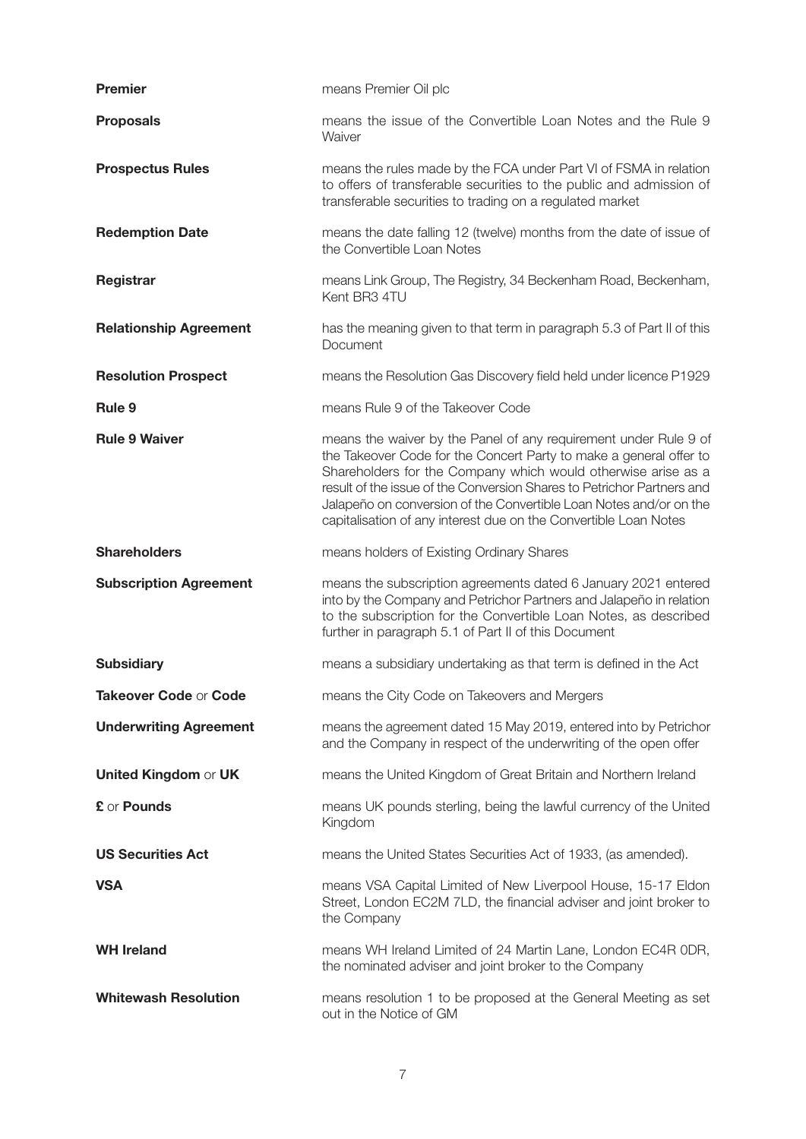| <b>Premier</b>                | means Premier Oil plc                                                                                                                                                                                                                                                                                                                                                                                                       |
|-------------------------------|-----------------------------------------------------------------------------------------------------------------------------------------------------------------------------------------------------------------------------------------------------------------------------------------------------------------------------------------------------------------------------------------------------------------------------|
| <b>Proposals</b>              | means the issue of the Convertible Loan Notes and the Rule 9<br>Waiver                                                                                                                                                                                                                                                                                                                                                      |
| <b>Prospectus Rules</b>       | means the rules made by the FCA under Part VI of FSMA in relation<br>to offers of transferable securities to the public and admission of<br>transferable securities to trading on a regulated market                                                                                                                                                                                                                        |
| <b>Redemption Date</b>        | means the date falling 12 (twelve) months from the date of issue of<br>the Convertible Loan Notes                                                                                                                                                                                                                                                                                                                           |
| Registrar                     | means Link Group, The Registry, 34 Beckenham Road, Beckenham,<br>Kent BR3 4TU                                                                                                                                                                                                                                                                                                                                               |
| <b>Relationship Agreement</b> | has the meaning given to that term in paragraph 5.3 of Part II of this<br>Document                                                                                                                                                                                                                                                                                                                                          |
| <b>Resolution Prospect</b>    | means the Resolution Gas Discovery field held under licence P1929                                                                                                                                                                                                                                                                                                                                                           |
| Rule <sub>9</sub>             | means Rule 9 of the Takeover Code                                                                                                                                                                                                                                                                                                                                                                                           |
| <b>Rule 9 Waiver</b>          | means the waiver by the Panel of any requirement under Rule 9 of<br>the Takeover Code for the Concert Party to make a general offer to<br>Shareholders for the Company which would otherwise arise as a<br>result of the issue of the Conversion Shares to Petrichor Partners and<br>Jalapeño on conversion of the Convertible Loan Notes and/or on the<br>capitalisation of any interest due on the Convertible Loan Notes |
| <b>Shareholders</b>           | means holders of Existing Ordinary Shares                                                                                                                                                                                                                                                                                                                                                                                   |
| <b>Subscription Agreement</b> | means the subscription agreements dated 6 January 2021 entered<br>into by the Company and Petrichor Partners and Jalapeño in relation<br>to the subscription for the Convertible Loan Notes, as described<br>further in paragraph 5.1 of Part II of this Document                                                                                                                                                           |
| <b>Subsidiary</b>             | means a subsidiary undertaking as that term is defined in the Act                                                                                                                                                                                                                                                                                                                                                           |
| Takeover Code or Code         | means the City Code on Takeovers and Mergers                                                                                                                                                                                                                                                                                                                                                                                |
| <b>Underwriting Agreement</b> | means the agreement dated 15 May 2019, entered into by Petrichor<br>and the Company in respect of the underwriting of the open offer                                                                                                                                                                                                                                                                                        |
| <b>United Kingdom or UK</b>   | means the United Kingdom of Great Britain and Northern Ireland                                                                                                                                                                                                                                                                                                                                                              |
| £ or Pounds                   | means UK pounds sterling, being the lawful currency of the United<br>Kingdom                                                                                                                                                                                                                                                                                                                                                |
| <b>US Securities Act</b>      | means the United States Securities Act of 1933, (as amended).                                                                                                                                                                                                                                                                                                                                                               |
| <b>VSA</b>                    | means VSA Capital Limited of New Liverpool House, 15-17 Eldon<br>Street, London EC2M 7LD, the financial adviser and joint broker to<br>the Company                                                                                                                                                                                                                                                                          |
| <b>WH Ireland</b>             | means WH Ireland Limited of 24 Martin Lane, London EC4R ODR,<br>the nominated adviser and joint broker to the Company                                                                                                                                                                                                                                                                                                       |
| <b>Whitewash Resolution</b>   | means resolution 1 to be proposed at the General Meeting as set<br>out in the Notice of GM                                                                                                                                                                                                                                                                                                                                  |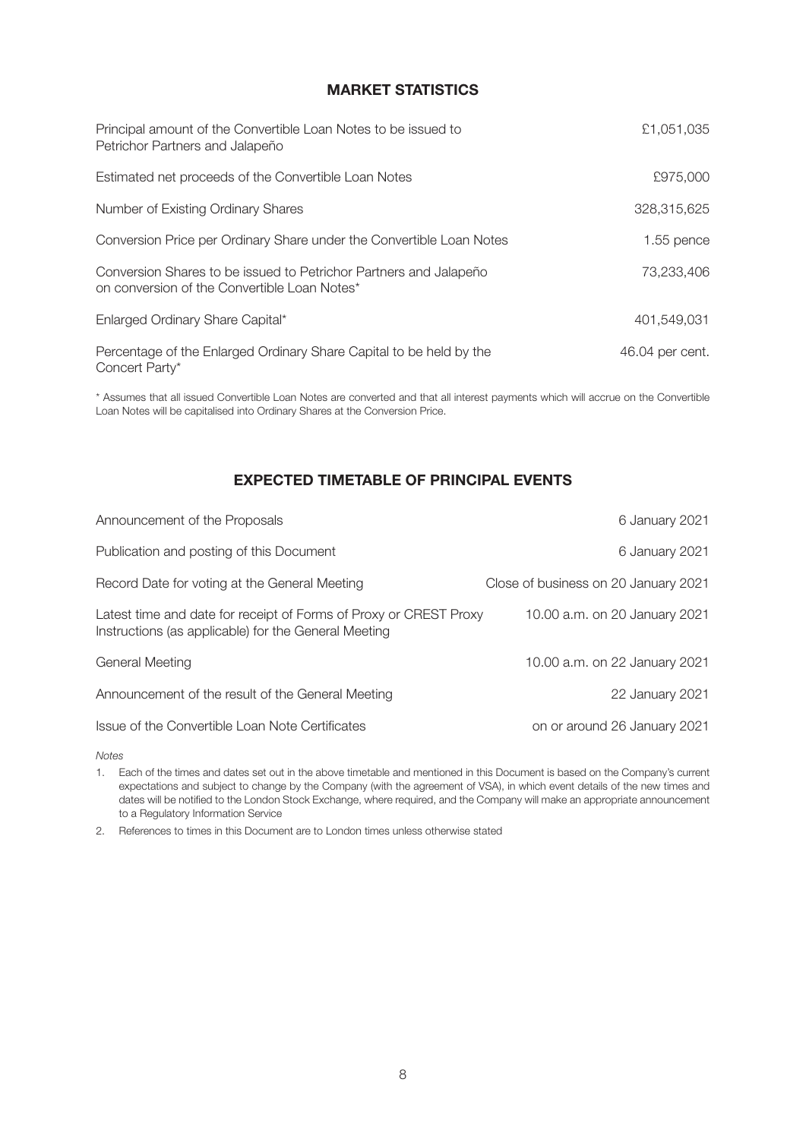# **MARKET STATISTICS**

| Principal amount of the Convertible Loan Notes to be issued to<br>Petrichor Partners and Jalapeño                 | £1,051,035      |
|-------------------------------------------------------------------------------------------------------------------|-----------------|
| Estimated net proceeds of the Convertible Loan Notes                                                              | £975,000        |
| Number of Existing Ordinary Shares                                                                                | 328,315,625     |
| Conversion Price per Ordinary Share under the Convertible Loan Notes                                              | 1.55 pence      |
| Conversion Shares to be issued to Petrichor Partners and Jalapeño<br>on conversion of the Convertible Loan Notes* | 73,233,406      |
| Enlarged Ordinary Share Capital*                                                                                  | 401.549.031     |
| Percentage of the Enlarged Ordinary Share Capital to be held by the<br>Concert Party*                             | 46.04 per cent. |

\* Assumes that all issued Convertible Loan Notes are converted and that all interest payments which will accrue on the Convertible Loan Notes will be capitalised into Ordinary Shares at the Conversion Price.

# **EXPECTED TIMETABLE OF PRINCIPAL EVENTS**

| Announcement of the Proposals                                                                                             | 6 January 2021                       |
|---------------------------------------------------------------------------------------------------------------------------|--------------------------------------|
| Publication and posting of this Document                                                                                  | 6 January 2021                       |
| Record Date for voting at the General Meeting                                                                             | Close of business on 20 January 2021 |
| Latest time and date for receipt of Forms of Proxy or CREST Proxy<br>Instructions (as applicable) for the General Meeting | 10.00 a.m. on 20 January 2021        |
| General Meeting                                                                                                           | 10.00 a.m. on 22 January 2021        |
| Announcement of the result of the General Meeting                                                                         | 22 January 2021                      |
| Issue of the Convertible Loan Note Certificates                                                                           | on or around 26 January 2021         |
|                                                                                                                           |                                      |

*Notes*

1. Each of the times and dates set out in the above timetable and mentioned in this Document is based on the Company's current expectations and subject to change by the Company (with the agreement of VSA), in which event details of the new times and dates will be notified to the London Stock Exchange, where required, and the Company will make an appropriate announcement to a Regulatory Information Service

2. References to times in this Document are to London times unless otherwise stated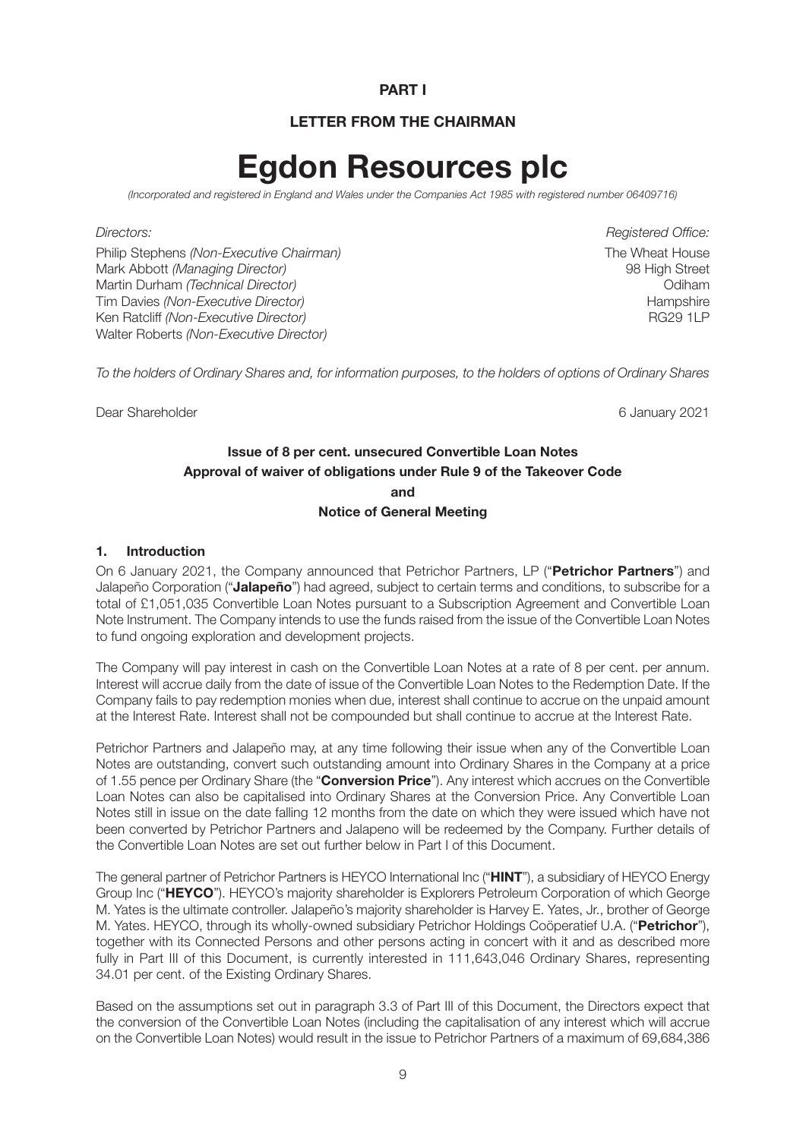### **PART I**

# **LETTER FROM THE CHAIRMAN**

# **Egdon Resources plc**

*(Incorporated and registered in England and Wales under the Companies Act 1985 with registered number 06409716)* 

Philip Stephens *(Non-Executive Chairman)* The Wheat House **The Wheat House** Mark Abbott *(Managing Director)* 98 High Street Martin Durham *(Technical Director)* Odiham Tim Davies *(Non-Executive Director)*<br>
Ken Ratcliff *(Non-Executive Director)*<br>
Hampshire (RG29 1LP) Ken Ratcliff *(Non-Executive Director)* Walter Roberts *(Non-Executive Director)*

*Directors: Registered Office:* 

*To the holders of Ordinary Shares and, for information purposes, to the holders of options of Ordinary Shares* 

Dear Shareholder 6 January 2021

### **Issue of 8 per cent. unsecured Convertible Loan Notes Approval of waiver of obligations under Rule 9 of the Takeover Code and**

**Notice of General Meeting** 

#### **1. Introduction**

On 6 January 2021, the Company announced that Petrichor Partners, LP ("**Petrichor Partners**") and Jalapeño Corporation ("**Jalapeño**") had agreed, subject to certain terms and conditions, to subscribe for a total of £1,051,035 Convertible Loan Notes pursuant to a Subscription Agreement and Convertible Loan Note Instrument. The Company intends to use the funds raised from the issue of the Convertible Loan Notes to fund ongoing exploration and development projects.

The Company will pay interest in cash on the Convertible Loan Notes at a rate of 8 per cent. per annum. Interest will accrue daily from the date of issue of the Convertible Loan Notes to the Redemption Date. If the Company fails to pay redemption monies when due, interest shall continue to accrue on the unpaid amount at the Interest Rate. Interest shall not be compounded but shall continue to accrue at the Interest Rate.

Petrichor Partners and Jalapeño may, at any time following their issue when any of the Convertible Loan Notes are outstanding, convert such outstanding amount into Ordinary Shares in the Company at a price of 1.55 pence per Ordinary Share (the "**Conversion Price**"). Any interest which accrues on the Convertible Loan Notes can also be capitalised into Ordinary Shares at the Conversion Price. Any Convertible Loan Notes still in issue on the date falling 12 months from the date on which they were issued which have not been converted by Petrichor Partners and Jalapeno will be redeemed by the Company. Further details of the Convertible Loan Notes are set out further below in Part I of this Document.

The general partner of Petrichor Partners is HEYCO International Inc ("**HINT**"), a subsidiary of HEYCO Energy Group Inc ("**HEYCO**"). HEYCO's majority shareholder is Explorers Petroleum Corporation of which George M. Yates is the ultimate controller. Jalapeño's majority shareholder is Harvey E. Yates, Jr., brother of George M. Yates. HEYCO, through its wholly-owned subsidiary Petrichor Holdings Coöperatief U.A. ("**Petrichor**"), together with its Connected Persons and other persons acting in concert with it and as described more fully in Part III of this Document, is currently interested in 111,643,046 Ordinary Shares, representing 34.01 per cent. of the Existing Ordinary Shares.

Based on the assumptions set out in paragraph 3.3 of Part III of this Document, the Directors expect that the conversion of the Convertible Loan Notes (including the capitalisation of any interest which will accrue on the Convertible Loan Notes) would result in the issue to Petrichor Partners of a maximum of 69,684,386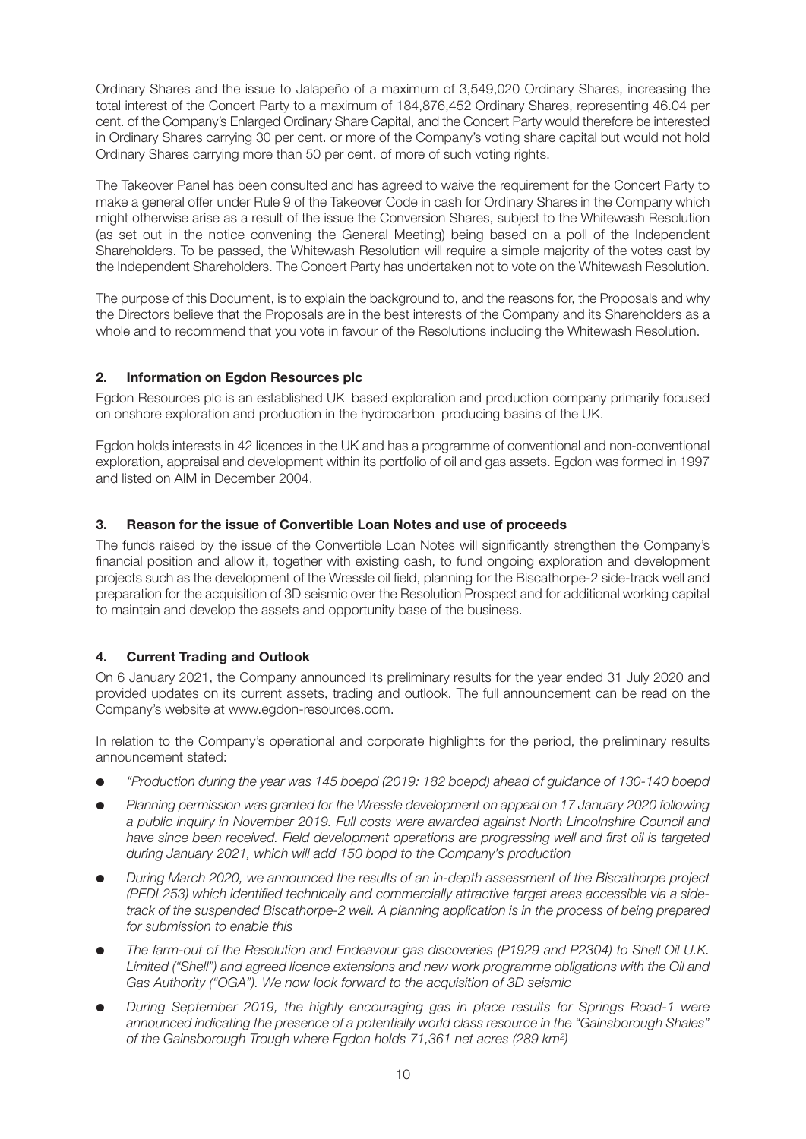Ordinary Shares and the issue to Jalapeño of a maximum of 3,549,020 Ordinary Shares, increasing the total interest of the Concert Party to a maximum of 184,876,452 Ordinary Shares, representing 46.04 per cent. of the Company's Enlarged Ordinary Share Capital, and the Concert Party would therefore be interested in Ordinary Shares carrying 30 per cent. or more of the Company's voting share capital but would not hold Ordinary Shares carrying more than 50 per cent. of more of such voting rights.

The Takeover Panel has been consulted and has agreed to waive the requirement for the Concert Party to make a general offer under Rule 9 of the Takeover Code in cash for Ordinary Shares in the Company which might otherwise arise as a result of the issue the Conversion Shares, subject to the Whitewash Resolution (as set out in the notice convening the General Meeting) being based on a poll of the Independent Shareholders. To be passed, the Whitewash Resolution will require a simple majority of the votes cast by the Independent Shareholders. The Concert Party has undertaken not to vote on the Whitewash Resolution.

The purpose of this Document, is to explain the background to, and the reasons for, the Proposals and why the Directors believe that the Proposals are in the best interests of the Company and its Shareholders as a whole and to recommend that you vote in favour of the Resolutions including the Whitewash Resolution.

# **2. Information on Egdon Resources plc**

Egdon Resources plc is an established UK based exploration and production company primarily focused on onshore exploration and production in the hydrocarbon producing basins of the UK.

Egdon holds interests in 42 licences in the UK and has a programme of conventional and non-conventional exploration, appraisal and development within its portfolio of oil and gas assets. Egdon was formed in 1997 and listed on AIM in December 2004.

#### **3. Reason for the issue of Convertible Loan Notes and use of proceeds**

The funds raised by the issue of the Convertible Loan Notes will significantly strengthen the Company's financial position and allow it, together with existing cash, to fund ongoing exploration and development projects such as the development of the Wressle oil field, planning for the Biscathorpe-2 side-track well and preparation for the acquisition of 3D seismic over the Resolution Prospect and for additional working capital to maintain and develop the assets and opportunity base of the business.

#### **4. Current Trading and Outlook**

On 6 January 2021, the Company announced its preliminary results for the year ended 31 July 2020 and provided updates on its current assets, trading and outlook. The full announcement can be read on the Company's website at www.egdon-resources.com.

In relation to the Company's operational and corporate highlights for the period, the preliminary results announcement stated:

- l *"Production during the year was 145 boepd (2019: 182 boepd) ahead of guidance of 130-140 boepd*
- Planning permission was granted for the Wressle development on appeal on 17 January 2020 following *a public inquiry in November 2019. Full costs were awarded against North Lincolnshire Council and have since been received. Field development operations are progressing well and first oil is targeted during January 2021, which will add 150 bopd to the Company's production*
- l *During March 2020, we announced the results of an in-depth assessment of the Biscathorpe project (PEDL253) which identified technically and commercially attractive target areas accessible via a sidetrack of the suspended Biscathorpe-2 well. A planning application is in the process of being prepared for submission to enable this*
- **•** The farm-out of the Resolution and Endeavour gas discoveries (P1929 and P2304) to Shell Oil U.K. *Limited ("Shell") and agreed licence extensions and new work programme obligations with the Oil and Gas Authority ("OGA"). We now look forward to the acquisition of 3D seismic*
- l *During September 2019, the highly encouraging gas in place results for Springs Road-1 were announced indicating the presence of a potentially world class resource in the "Gainsborough Shales" of the Gainsborough Trough where Egdon holds 71,361 net acres (289 km2)*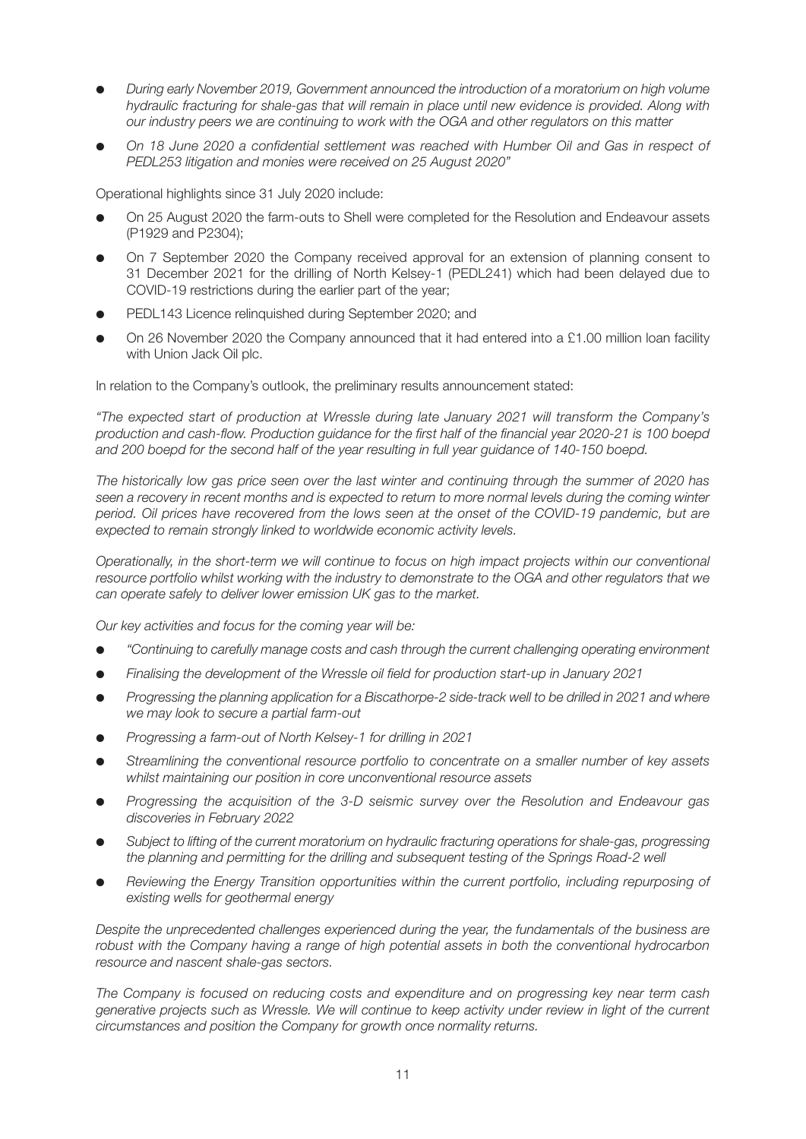- l *During early November 2019, Government announced the introduction of a moratorium on high volume hydraulic fracturing for shale-gas that will remain in place until new evidence is provided. Along with our industry peers we are continuing to work with the OGA and other regulators on this matter*
- l *On 18 June 2020 a confidential settlement was reached with Humber Oil and Gas in respect of PEDL253 litigation and monies were received on 25 August 2020"*

Operational highlights since 31 July 2020 include:

- On 25 August 2020 the farm-outs to Shell were completed for the Resolution and Endeavour assets (P1929 and P2304);
- On 7 September 2020 the Company received approval for an extension of planning consent to 31 December 2021 for the drilling of North Kelsey-1 (PEDL241) which had been delayed due to COVID-19 restrictions during the earlier part of the year;
- PEDL143 Licence relinquished during September 2020; and
- On 26 November 2020 the Company announced that it had entered into a £1.00 million loan facility with Union Jack Oil plc.

In relation to the Company's outlook, the preliminary results announcement stated:

*"The expected start of production at Wressle during late January 2021 will transform the Company's production and cash-flow. Production guidance for the first half of the financial year 2020-21 is 100 boepd and 200 boepd for the second half of the year resulting in full year guidance of 140-150 boepd.* 

*The historically low gas price seen over the last winter and continuing through the summer of 2020 has seen a recovery in recent months and is expected to return to more normal levels during the coming winter period. Oil prices have recovered from the lows seen at the onset of the COVID-19 pandemic, but are expected to remain strongly linked to worldwide economic activity levels.* 

*Operationally, in the short-term we will continue to focus on high impact projects within our conventional resource portfolio whilst working with the industry to demonstrate to the OGA and other regulators that we can operate safely to deliver lower emission UK gas to the market.* 

*Our key activities and focus for the coming year will be:* 

- l *"Continuing to carefully manage costs and cash through the current challenging operating environment*
- **•** Finalising the development of the Wressle oil field for production start-up in January 2021
- l *Progressing the planning application for a Biscathorpe-2 side-track well to be drilled in 2021 and where we may look to secure a partial farm-out*
- **•** Progressing a farm-out of North Kelsey-1 for drilling in 2021
- Streamlining the conventional resource portfolio to concentrate on a smaller number of key assets *whilst maintaining our position in core unconventional resource assets*
- l *Progressing the acquisition of the 3-D seismic survey over the Resolution and Endeavour gas discoveries in February 2022*
- l *Subject to lifting of the current moratorium on hydraulic fracturing operations for shale-gas, progressing*  the planning and permitting for the drilling and subsequent testing of the Springs Road-2 well
- l *Reviewing the Energy Transition opportunities within the current portfolio, including repurposing of existing wells for geothermal energy*

*Despite the unprecedented challenges experienced during the year, the fundamentals of the business are robust with the Company having a range of high potential assets in both the conventional hydrocarbon resource and nascent shale-gas sectors.* 

*The Company is focused on reducing costs and expenditure and on progressing key near term cash generative projects such as Wressle. We will continue to keep activity under review in light of the current circumstances and position the Company for growth once normality returns.*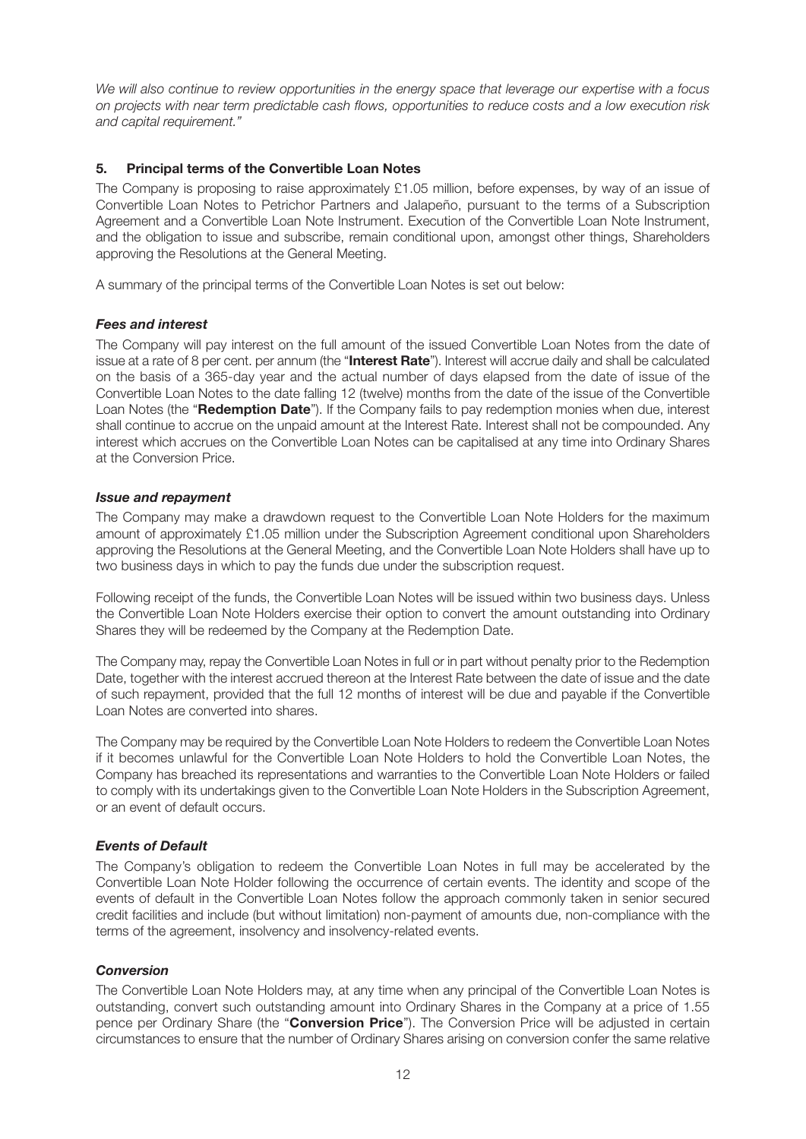*We will also continue to review opportunities in the energy space that leverage our expertise with a focus on projects with near term predictable cash flows, opportunities to reduce costs and a low execution risk and capital requirement."*

#### **5. Principal terms of the Convertible Loan Notes**

The Company is proposing to raise approximately £1.05 million, before expenses, by way of an issue of Convertible Loan Notes to Petrichor Partners and Jalapeño, pursuant to the terms of a Subscription Agreement and a Convertible Loan Note Instrument. Execution of the Convertible Loan Note Instrument, and the obligation to issue and subscribe, remain conditional upon, amongst other things, Shareholders approving the Resolutions at the General Meeting.

A summary of the principal terms of the Convertible Loan Notes is set out below:

#### *Fees and interest*

The Company will pay interest on the full amount of the issued Convertible Loan Notes from the date of issue at a rate of 8 per cent. per annum (the "**Interest Rate**"). Interest will accrue daily and shall be calculated on the basis of a 365-day year and the actual number of days elapsed from the date of issue of the Convertible Loan Notes to the date falling 12 (twelve) months from the date of the issue of the Convertible Loan Notes (the "**Redemption Date**"). If the Company fails to pay redemption monies when due, interest shall continue to accrue on the unpaid amount at the Interest Rate. Interest shall not be compounded. Any interest which accrues on the Convertible Loan Notes can be capitalised at any time into Ordinary Shares at the Conversion Price.

#### *Issue and repayment*

The Company may make a drawdown request to the Convertible Loan Note Holders for the maximum amount of approximately £1.05 million under the Subscription Agreement conditional upon Shareholders approving the Resolutions at the General Meeting, and the Convertible Loan Note Holders shall have up to two business days in which to pay the funds due under the subscription request.

Following receipt of the funds, the Convertible Loan Notes will be issued within two business days. Unless the Convertible Loan Note Holders exercise their option to convert the amount outstanding into Ordinary Shares they will be redeemed by the Company at the Redemption Date.

The Company may, repay the Convertible Loan Notes in full or in part without penalty prior to the Redemption Date, together with the interest accrued thereon at the Interest Rate between the date of issue and the date of such repayment, provided that the full 12 months of interest will be due and payable if the Convertible Loan Notes are converted into shares.

The Company may be required by the Convertible Loan Note Holders to redeem the Convertible Loan Notes if it becomes unlawful for the Convertible Loan Note Holders to hold the Convertible Loan Notes, the Company has breached its representations and warranties to the Convertible Loan Note Holders or failed to comply with its undertakings given to the Convertible Loan Note Holders in the Subscription Agreement, or an event of default occurs.

#### *Events of Default*

The Company's obligation to redeem the Convertible Loan Notes in full may be accelerated by the Convertible Loan Note Holder following the occurrence of certain events. The identity and scope of the events of default in the Convertible Loan Notes follow the approach commonly taken in senior secured credit facilities and include (but without limitation) non-payment of amounts due, non-compliance with the terms of the agreement, insolvency and insolvency-related events.

#### *Conversion*

The Convertible Loan Note Holders may, at any time when any principal of the Convertible Loan Notes is outstanding, convert such outstanding amount into Ordinary Shares in the Company at a price of 1.55 pence per Ordinary Share (the "**Conversion Price**"). The Conversion Price will be adjusted in certain circumstances to ensure that the number of Ordinary Shares arising on conversion confer the same relative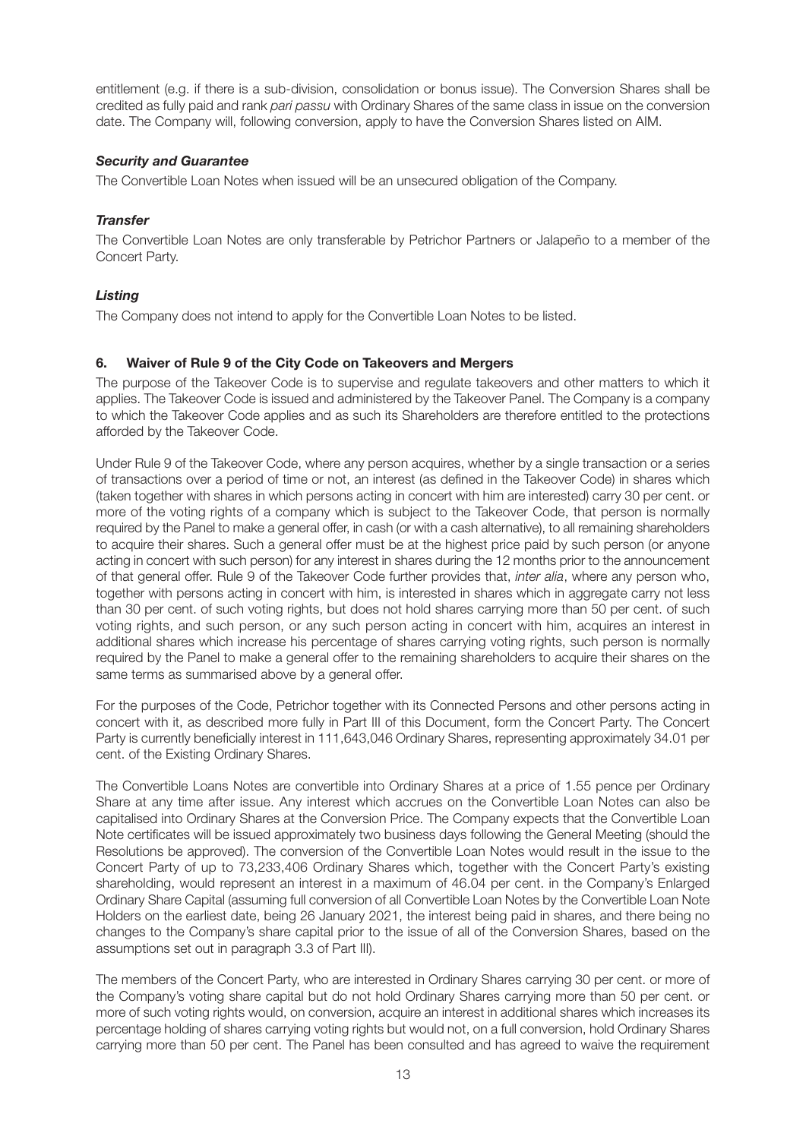entitlement (e.g. if there is a sub-division, consolidation or bonus issue). The Conversion Shares shall be credited as fully paid and rank *pari passu* with Ordinary Shares of the same class in issue on the conversion date. The Company will, following conversion, apply to have the Conversion Shares listed on AIM.

# *Security and Guarantee*

The Convertible Loan Notes when issued will be an unsecured obligation of the Company.

# *Transfer*

The Convertible Loan Notes are only transferable by Petrichor Partners or Jalapeño to a member of the Concert Party.

# *Listing*

The Company does not intend to apply for the Convertible Loan Notes to be listed.

# **6. Waiver of Rule 9 of the City Code on Takeovers and Mergers**

The purpose of the Takeover Code is to supervise and regulate takeovers and other matters to which it applies. The Takeover Code is issued and administered by the Takeover Panel. The Company is a company to which the Takeover Code applies and as such its Shareholders are therefore entitled to the protections afforded by the Takeover Code.

Under Rule 9 of the Takeover Code, where any person acquires, whether by a single transaction or a series of transactions over a period of time or not, an interest (as defined in the Takeover Code) in shares which (taken together with shares in which persons acting in concert with him are interested) carry 30 per cent. or more of the voting rights of a company which is subject to the Takeover Code, that person is normally required by the Panel to make a general offer, in cash (or with a cash alternative), to all remaining shareholders to acquire their shares. Such a general offer must be at the highest price paid by such person (or anyone acting in concert with such person) for any interest in shares during the 12 months prior to the announcement of that general offer. Rule 9 of the Takeover Code further provides that, *inter alia*, where any person who, together with persons acting in concert with him, is interested in shares which in aggregate carry not less than 30 per cent. of such voting rights, but does not hold shares carrying more than 50 per cent. of such voting rights, and such person, or any such person acting in concert with him, acquires an interest in additional shares which increase his percentage of shares carrying voting rights, such person is normally required by the Panel to make a general offer to the remaining shareholders to acquire their shares on the same terms as summarised above by a general offer.

For the purposes of the Code, Petrichor together with its Connected Persons and other persons acting in concert with it, as described more fully in Part III of this Document, form the Concert Party. The Concert Party is currently beneficially interest in 111,643,046 Ordinary Shares, representing approximately 34.01 per cent. of the Existing Ordinary Shares.

The Convertible Loans Notes are convertible into Ordinary Shares at a price of 1.55 pence per Ordinary Share at any time after issue. Any interest which accrues on the Convertible Loan Notes can also be capitalised into Ordinary Shares at the Conversion Price. The Company expects that the Convertible Loan Note certificates will be issued approximately two business days following the General Meeting (should the Resolutions be approved). The conversion of the Convertible Loan Notes would result in the issue to the Concert Party of up to 73,233,406 Ordinary Shares which, together with the Concert Party's existing shareholding, would represent an interest in a maximum of 46.04 per cent. in the Company's Enlarged Ordinary Share Capital (assuming full conversion of all Convertible Loan Notes by the Convertible Loan Note Holders on the earliest date, being 26 January 2021, the interest being paid in shares, and there being no changes to the Company's share capital prior to the issue of all of the Conversion Shares, based on the assumptions set out in paragraph 3.3 of Part III).

The members of the Concert Party, who are interested in Ordinary Shares carrying 30 per cent. or more of the Company's voting share capital but do not hold Ordinary Shares carrying more than 50 per cent. or more of such voting rights would, on conversion, acquire an interest in additional shares which increases its percentage holding of shares carrying voting rights but would not, on a full conversion, hold Ordinary Shares carrying more than 50 per cent. The Panel has been consulted and has agreed to waive the requirement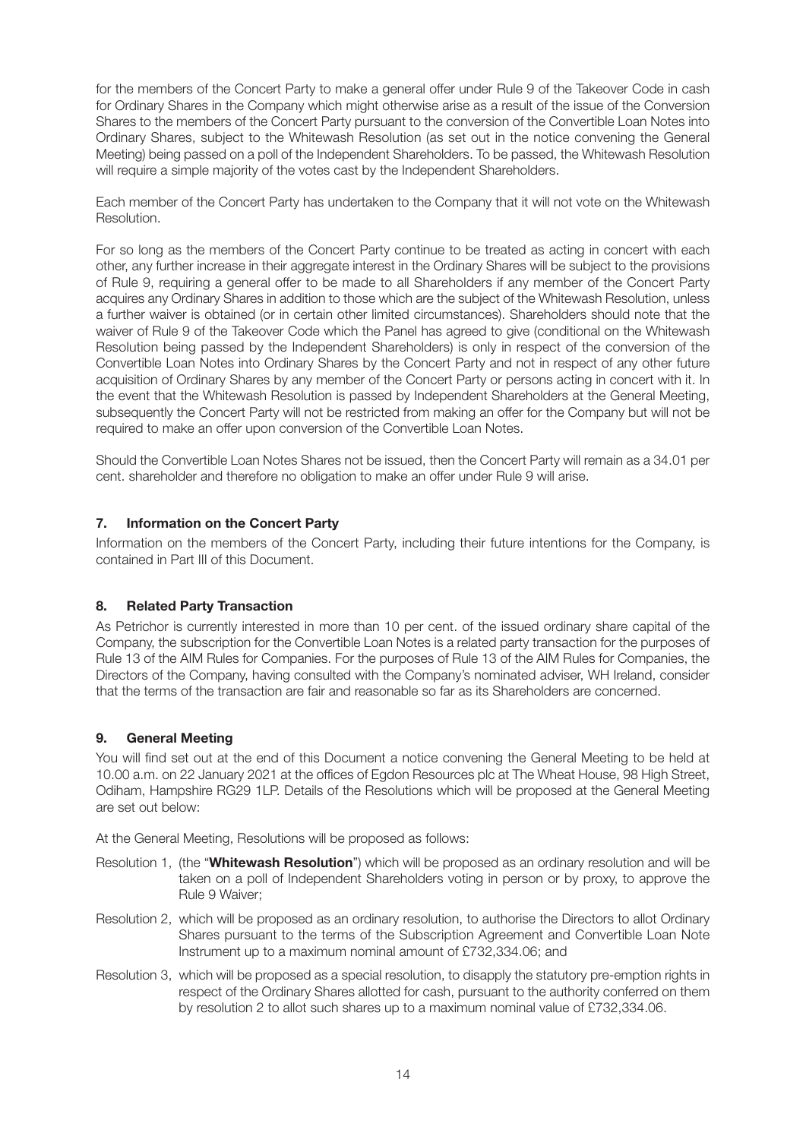for the members of the Concert Party to make a general offer under Rule 9 of the Takeover Code in cash for Ordinary Shares in the Company which might otherwise arise as a result of the issue of the Conversion Shares to the members of the Concert Party pursuant to the conversion of the Convertible Loan Notes into Ordinary Shares, subject to the Whitewash Resolution (as set out in the notice convening the General Meeting) being passed on a poll of the Independent Shareholders. To be passed, the Whitewash Resolution will require a simple majority of the votes cast by the Independent Shareholders.

Each member of the Concert Party has undertaken to the Company that it will not vote on the Whitewash Resolution.

For so long as the members of the Concert Party continue to be treated as acting in concert with each other, any further increase in their aggregate interest in the Ordinary Shares will be subject to the provisions of Rule 9, requiring a general offer to be made to all Shareholders if any member of the Concert Party acquires any Ordinary Shares in addition to those which are the subject of the Whitewash Resolution, unless a further waiver is obtained (or in certain other limited circumstances). Shareholders should note that the waiver of Rule 9 of the Takeover Code which the Panel has agreed to give (conditional on the Whitewash Resolution being passed by the Independent Shareholders) is only in respect of the conversion of the Convertible Loan Notes into Ordinary Shares by the Concert Party and not in respect of any other future acquisition of Ordinary Shares by any member of the Concert Party or persons acting in concert with it. In the event that the Whitewash Resolution is passed by Independent Shareholders at the General Meeting, subsequently the Concert Party will not be restricted from making an offer for the Company but will not be required to make an offer upon conversion of the Convertible Loan Notes.

Should the Convertible Loan Notes Shares not be issued, then the Concert Party will remain as a 34.01 per cent. shareholder and therefore no obligation to make an offer under Rule 9 will arise.

# **7. Information on the Concert Party**

Information on the members of the Concert Party, including their future intentions for the Company, is contained in Part III of this Document.

#### **8. Related Party Transaction**

As Petrichor is currently interested in more than 10 per cent. of the issued ordinary share capital of the Company, the subscription for the Convertible Loan Notes is a related party transaction for the purposes of Rule 13 of the AIM Rules for Companies. For the purposes of Rule 13 of the AIM Rules for Companies, the Directors of the Company, having consulted with the Company's nominated adviser, WH Ireland, consider that the terms of the transaction are fair and reasonable so far as its Shareholders are concerned.

#### **9. General Meeting**

You will find set out at the end of this Document a notice convening the General Meeting to be held at 10.00 a.m. on 22 January 2021 at the offices of Egdon Resources plc at The Wheat House, 98 High Street, Odiham, Hampshire RG29 1LP. Details of the Resolutions which will be proposed at the General Meeting are set out below:

At the General Meeting, Resolutions will be proposed as follows:

- Resolution 1, (the "**Whitewash Resolution**") which will be proposed as an ordinary resolution and will be taken on a poll of Independent Shareholders voting in person or by proxy, to approve the Rule 9 Waiver;
- Resolution 2, which will be proposed as an ordinary resolution, to authorise the Directors to allot Ordinary Shares pursuant to the terms of the Subscription Agreement and Convertible Loan Note Instrument up to a maximum nominal amount of £732,334.06; and
- Resolution 3, which will be proposed as a special resolution, to disapply the statutory pre-emption rights in respect of the Ordinary Shares allotted for cash, pursuant to the authority conferred on them by resolution 2 to allot such shares up to a maximum nominal value of £732,334.06.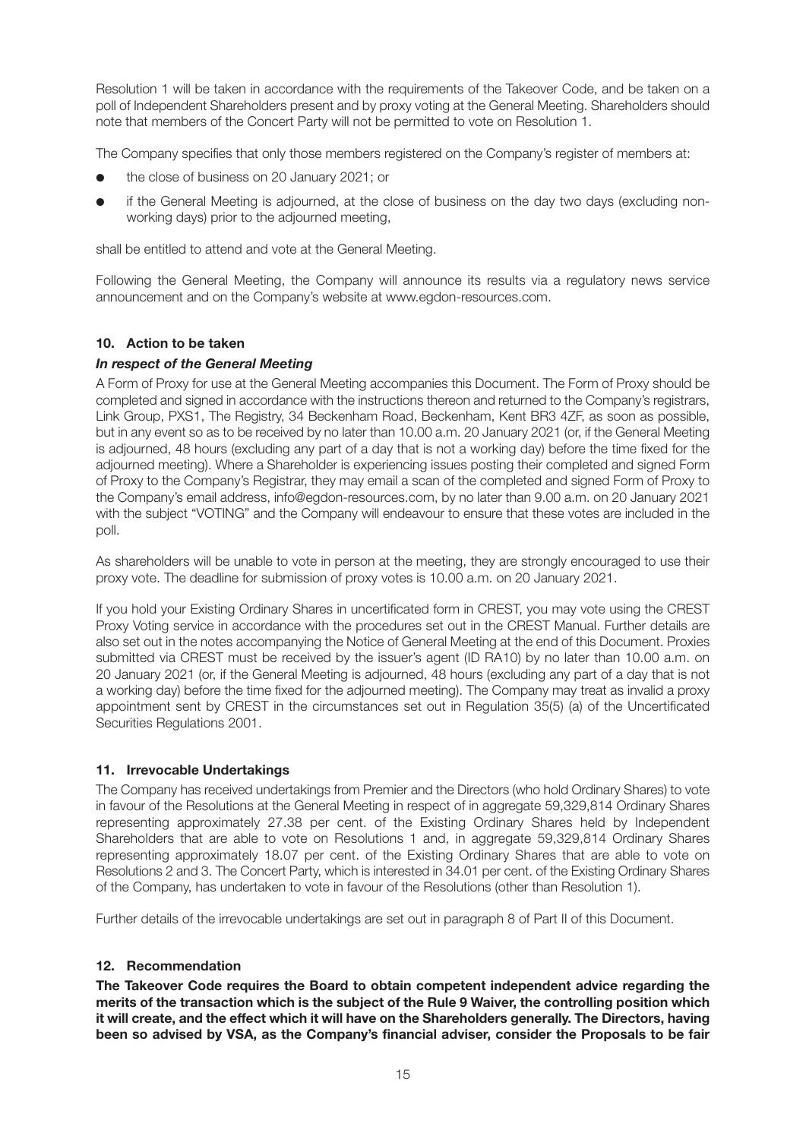Resolution 1 will be taken in accordance with the requirements of the Takeover Code, and be taken on a poll of Independent Shareholders present and by proxy voting at the General Meeting. Shareholders should note that members of the Concert Party will not be permitted to vote on Resolution 1.

The Company specifies that only those members registered on the Company's register of members at:

- l the close of business on 20 January 2021; or
- if the General Meeting is adjourned, at the close of business on the day two days (excluding nonworking days) prior to the adjourned meeting,

shall be entitled to attend and vote at the General Meeting.

Following the General Meeting, the Company will announce its results via a regulatory news service announcement and on the Company's website at www.egdon-resources.com.

#### **10. Action to be taken**

#### *In respect of the General Meeting*

A Form of Proxy for use at the General Meeting accompanies this Document. The Form of Proxy should be completed and signed in accordance with the instructions thereon and returned to the Company's registrars, Link Group, PXS1, The Registry, 34 Beckenham Road, Beckenham, Kent BR3 4ZF, as soon as possible, but in any event so as to be received by no later than 10.00 a.m. 20 January 2021 (or, if the General Meeting is adjourned, 48 hours (excluding any part of a day that is not a working day) before the time fixed for the adjourned meeting). Where a Shareholder is experiencing issues posting their completed and signed Form of Proxy to the Company's Registrar, they may email a scan of the completed and signed Form of Proxy to the Company's email address, info@egdon-resources.com, by no later than 9.00 a.m. on 20 January 2021 with the subject "VOTING" and the Company will endeavour to ensure that these votes are included in the poll.

As shareholders will be unable to vote in person at the meeting, they are strongly encouraged to use their proxy vote. The deadline for submission of proxy votes is 10.00 a.m. on 20 January 2021.

If you hold your Existing Ordinary Shares in uncertificated form in CREST, you may vote using the CREST Proxy Voting service in accordance with the procedures set out in the CREST Manual. Further details are also set out in the notes accompanying the Notice of General Meeting at the end of this Document. Proxies submitted via CREST must be received by the issuer's agent (ID RA10) by no later than 10.00 a.m. on 20 January 2021 (or, if the General Meeting is adjourned, 48 hours (excluding any part of a day that is not a working day) before the time fixed for the adjourned meeting). The Company may treat as invalid a proxy appointment sent by CREST in the circumstances set out in Regulation 35(5) (a) of the Uncertificated Securities Regulations 2001.

#### **11. Irrevocable Undertakings**

The Company has received undertakings from Premier and the Directors (who hold Ordinary Shares) to vote in favour of the Resolutions at the General Meeting in respect of in aggregate 59,329,814 Ordinary Shares representing approximately 27.38 per cent. of the Existing Ordinary Shares held by Independent Shareholders that are able to vote on Resolutions 1 and, in aggregate 59,329,814 Ordinary Shares representing approximately 18.07 per cent. of the Existing Ordinary Shares that are able to vote on Resolutions 2 and 3. The Concert Party, which is interested in 34.01 per cent. of the Existing Ordinary Shares of the Company, has undertaken to vote in favour of the Resolutions (other than Resolution 1).

Further details of the irrevocable undertakings are set out in paragraph 8 of Part II of this Document.

#### **12. Recommendation**

**The Takeover Code requires the Board to obtain competent independent advice regarding the merits of the transaction which is the subject of the Rule 9 Waiver, the controlling position which it will create, and the effect which it will have on the Shareholders generally. The Directors, having been so advised by VSA, as the Company's financial adviser, consider the Proposals to be fair**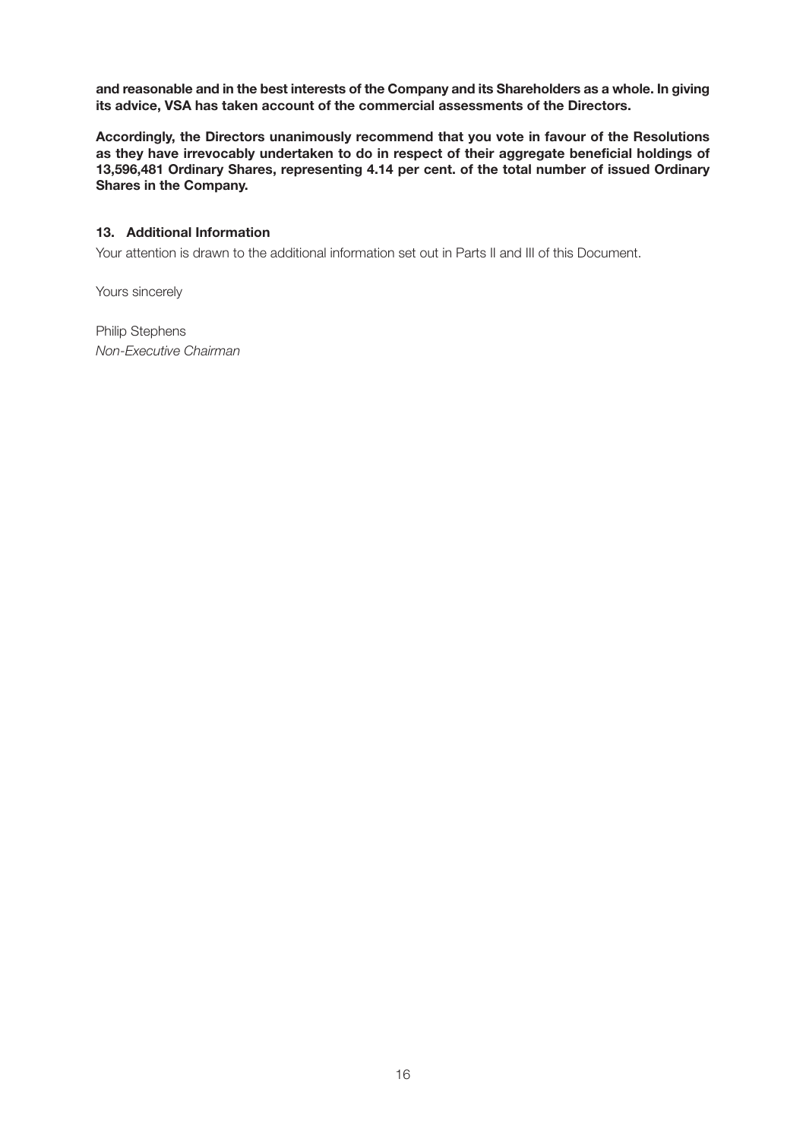**and reasonable and in the best interests of the Company and its Shareholders as a whole. In giving its advice, VSA has taken account of the commercial assessments of the Directors.** 

**Accordingly, the Directors unanimously recommend that you vote in favour of the Resolutions as they have irrevocably undertaken to do in respect of their aggregate beneficial holdings of 13,596,481 Ordinary Shares, representing 4.14 per cent. of the total number of issued Ordinary Shares in the Company.** 

#### **13. Additional Information**

Your attention is drawn to the additional information set out in Parts II and III of this Document.

Yours sincerely

Philip Stephens *Non-Executive Chairman*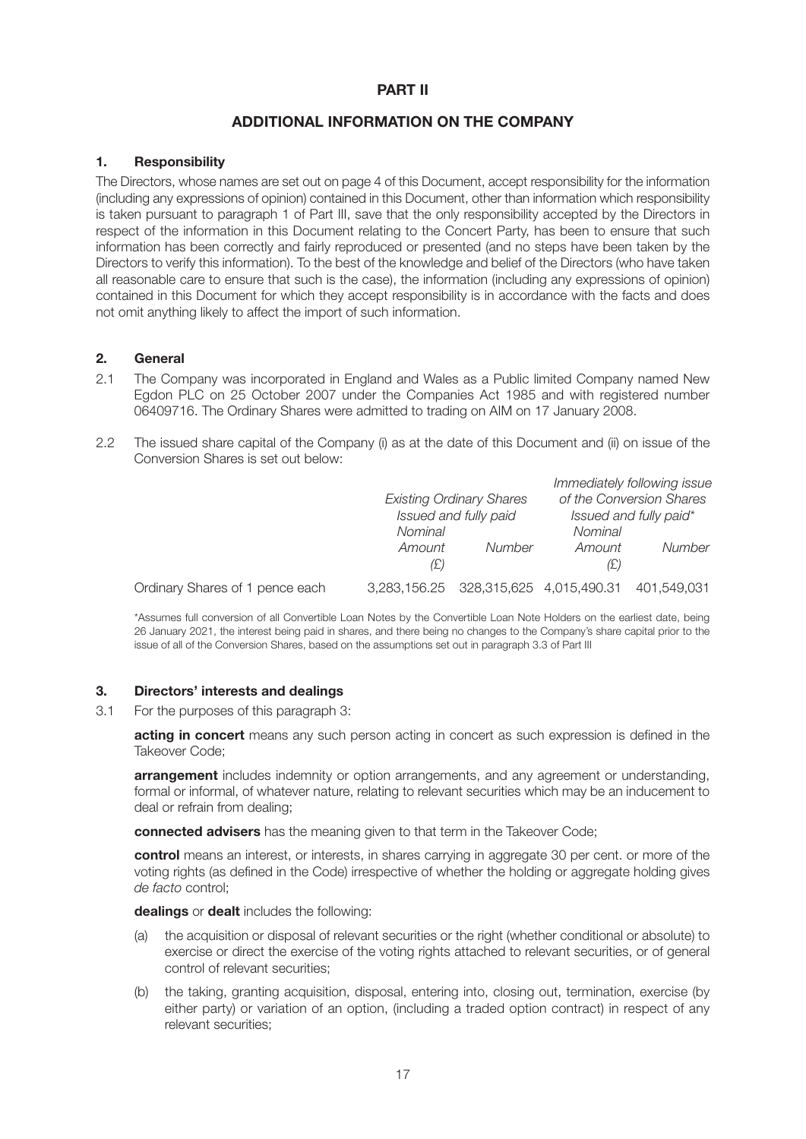# **PART II**

# **ADDITIONAL INFORMATION ON THE COMPANY**

#### **1. Responsibility**

The Directors, whose names are set out on page 4 of this Document, accept responsibility for the information (including any expressions of opinion) contained in this Document, other than information which responsibility is taken pursuant to paragraph 1 of Part III, save that the only responsibility accepted by the Directors in respect of the information in this Document relating to the Concert Party, has been to ensure that such information has been correctly and fairly reproduced or presented (and no steps have been taken by the Directors to verify this information). To the best of the knowledge and belief of the Directors (who have taken all reasonable care to ensure that such is the case), the information (including any expressions of opinion) contained in this Document for which they accept responsibility is in accordance with the facts and does not omit anything likely to affect the import of such information.

#### **2. General**

- 2.1 The Company was incorporated in England and Wales as a Public limited Company named New Egdon PLC on 25 October 2007 under the Companies Act 1985 and with registered number 06409716. The Ordinary Shares were admitted to trading on AIM on 17 January 2008.
- 2.2 The issued share capital of the Company (i) as at the date of this Document and (ii) on issue of the Conversion Shares is set out below:

|                                 |         |                                       |         | Immediately following issue |
|---------------------------------|---------|---------------------------------------|---------|-----------------------------|
|                                 |         | <b>Existing Ordinary Shares</b>       |         | of the Conversion Shares    |
|                                 |         | Issued and fully paid                 |         | Issued and fully paid*      |
|                                 | Nominal |                                       | Nominal |                             |
|                                 | Amount  | Number                                | Amount  | Number                      |
|                                 | (£)     |                                       | (£)     |                             |
| Ordinary Shares of 1 pence each |         | 3,283,156.25 328,315,625 4,015,490.31 |         | 401,549,031                 |

\*Assumes full conversion of all Convertible Loan Notes by the Convertible Loan Note Holders on the earliest date, being 26 January 2021, the interest being paid in shares, and there being no changes to the Company's share capital prior to the issue of all of the Conversion Shares, based on the assumptions set out in paragraph 3.3 of Part III

#### **3. Directors' interests and dealings**

3.1 For the purposes of this paragraph 3:

**acting in concert** means any such person acting in concert as such expression is defined in the Takeover Code;

**arrangement** includes indemnity or option arrangements, and any agreement or understanding, formal or informal, of whatever nature, relating to relevant securities which may be an inducement to deal or refrain from dealing;

**connected advisers** has the meaning given to that term in the Takeover Code;

**control** means an interest, or interests, in shares carrying in aggregate 30 per cent. or more of the voting rights (as defined in the Code) irrespective of whether the holding or aggregate holding gives *de facto* control;

**dealings** or **dealt** includes the following:

- (a) the acquisition or disposal of relevant securities or the right (whether conditional or absolute) to exercise or direct the exercise of the voting rights attached to relevant securities, or of general control of relevant securities;
- (b) the taking, granting acquisition, disposal, entering into, closing out, termination, exercise (by either party) or variation of an option, (including a traded option contract) in respect of any relevant securities;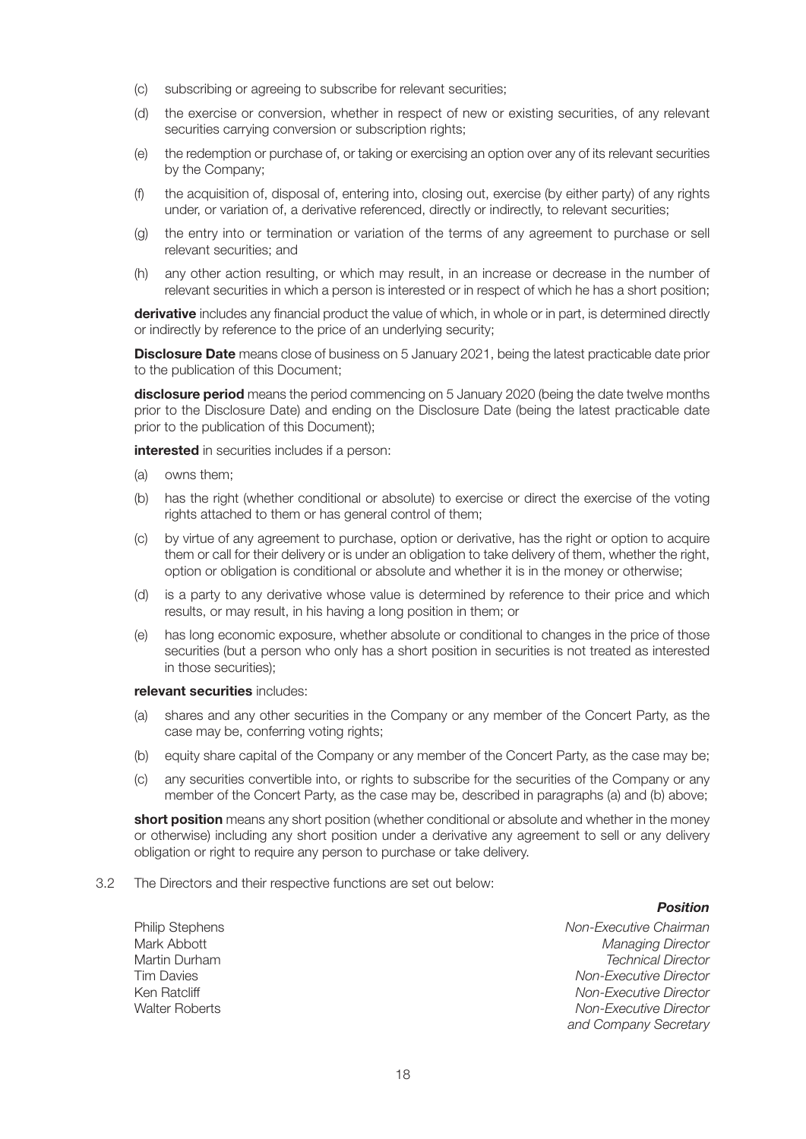- (c) subscribing or agreeing to subscribe for relevant securities;
- (d) the exercise or conversion, whether in respect of new or existing securities, of any relevant securities carrying conversion or subscription rights:
- (e) the redemption or purchase of, or taking or exercising an option over any of its relevant securities by the Company;
- (f) the acquisition of, disposal of, entering into, closing out, exercise (by either party) of any rights under, or variation of, a derivative referenced, directly or indirectly, to relevant securities;
- (g) the entry into or termination or variation of the terms of any agreement to purchase or sell relevant securities; and
- (h) any other action resulting, or which may result, in an increase or decrease in the number of relevant securities in which a person is interested or in respect of which he has a short position;

**derivative** includes any financial product the value of which, in whole or in part, is determined directly or indirectly by reference to the price of an underlying security;

**Disclosure Date** means close of business on 5 January 2021, being the latest practicable date prior to the publication of this Document;

**disclosure period** means the period commencing on 5 January 2020 (being the date twelve months prior to the Disclosure Date) and ending on the Disclosure Date (being the latest practicable date prior to the publication of this Document);

**interested** in securities includes if a person:

- (a) owns them;
- (b) has the right (whether conditional or absolute) to exercise or direct the exercise of the voting rights attached to them or has general control of them;
- (c) by virtue of any agreement to purchase, option or derivative, has the right or option to acquire them or call for their delivery or is under an obligation to take delivery of them, whether the right, option or obligation is conditional or absolute and whether it is in the money or otherwise;
- (d) is a party to any derivative whose value is determined by reference to their price and which results, or may result, in his having a long position in them; or
- (e) has long economic exposure, whether absolute or conditional to changes in the price of those securities (but a person who only has a short position in securities is not treated as interested in those securities);

#### **relevant securities** includes:

- (a) shares and any other securities in the Company or any member of the Concert Party, as the case may be, conferring voting rights;
- (b) equity share capital of the Company or any member of the Concert Party, as the case may be;
- (c) any securities convertible into, or rights to subscribe for the securities of the Company or any member of the Concert Party, as the case may be, described in paragraphs (a) and (b) above;

**short position** means any short position (whether conditional or absolute and whether in the money or otherwise) including any short position under a derivative any agreement to sell or any delivery obligation or right to require any person to purchase or take delivery.

3.2 The Directors and their respective functions are set out below:

#### *Position*

Philip Stephens *Non-Executive Chairman* Mark Abbott *Managing Director* **Technical Director** Tim Davies *Non-Executive Director* Ken Ratcliff *Non-Executive Director* **Non-Executive Director** *and Company Secretary*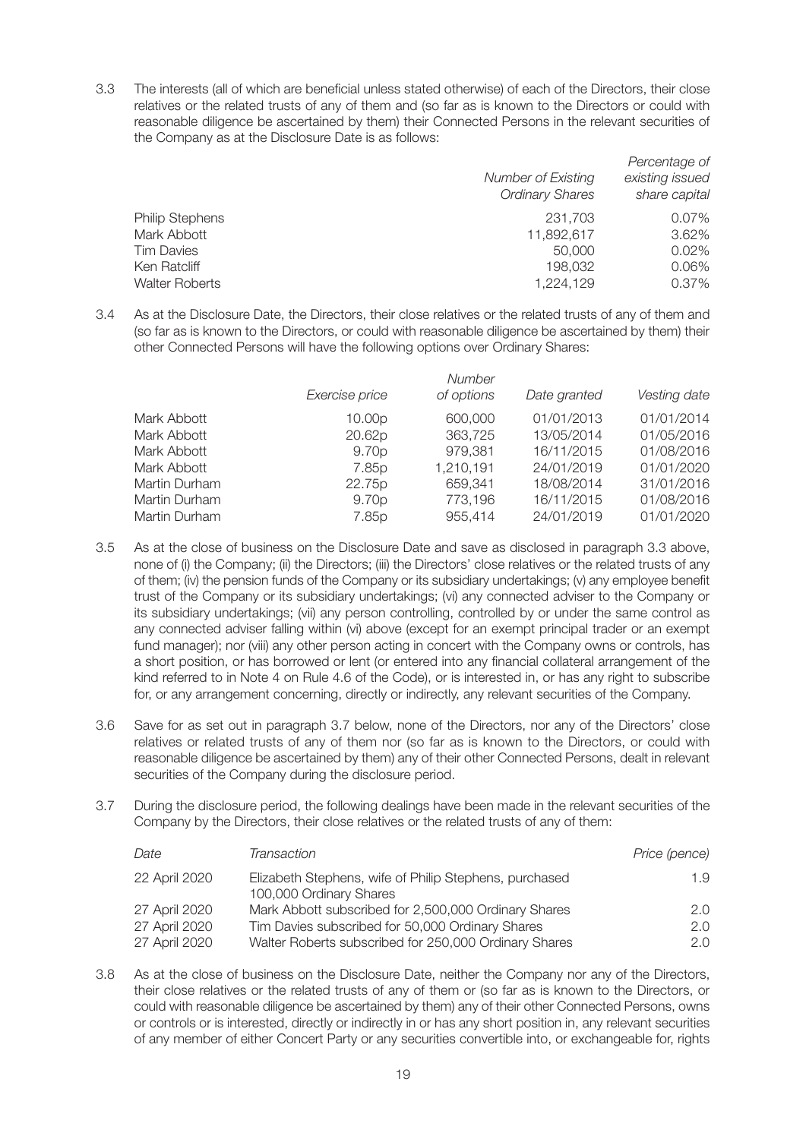3.3 The interests (all of which are beneficial unless stated otherwise) of each of the Directors, their close relatives or the related trusts of any of them and (so far as is known to the Directors or could with reasonable diligence be ascertained by them) their Connected Persons in the relevant securities of the Company as at the Disclosure Date is as follows:

|                        |                                              | Percentage of                    |
|------------------------|----------------------------------------------|----------------------------------|
|                        | Number of Existing<br><b>Ordinary Shares</b> | existing issued<br>share capital |
| <b>Philip Stephens</b> | 231.703                                      | 0.07%                            |
| Mark Abbott            | 11,892,617                                   | 3.62%                            |
| Tim Davies             | 50,000                                       | $0.02\%$                         |
| Ken Ratcliff           | 198.032                                      | 0.06%                            |
| <b>Walter Roberts</b>  | 1,224,129                                    | 0.37%                            |
|                        |                                              |                                  |

3.4 As at the Disclosure Date, the Directors, their close relatives or the related trusts of any of them and (so far as is known to the Directors, or could with reasonable diligence be ascertained by them) their other Connected Persons will have the following options over Ordinary Shares:

|               |                   | Number     |              |              |
|---------------|-------------------|------------|--------------|--------------|
|               | Exercise price    | of options | Date granted | Vesting date |
| Mark Abbott   | 10.00p            | 600,000    | 01/01/2013   | 01/01/2014   |
| Mark Abbott   | 20.62p            | 363,725    | 13/05/2014   | 01/05/2016   |
| Mark Abbott   | 9.70 <sub>p</sub> | 979,381    | 16/11/2015   | 01/08/2016   |
| Mark Abbott   | 7.85p             | 1,210,191  | 24/01/2019   | 01/01/2020   |
| Martin Durham | 22.75p            | 659,341    | 18/08/2014   | 31/01/2016   |
| Martin Durham | 9.70p             | 773,196    | 16/11/2015   | 01/08/2016   |
| Martin Durham | 7.85p             | 955,414    | 24/01/2019   | 01/01/2020   |

- 3.5 As at the close of business on the Disclosure Date and save as disclosed in paragraph 3.3 above, none of (i) the Company; (ii) the Directors; (iii) the Directors' close relatives or the related trusts of any of them; (iv) the pension funds of the Company or its subsidiary undertakings; (v) any employee benefit trust of the Company or its subsidiary undertakings; (vi) any connected adviser to the Company or its subsidiary undertakings; (vii) any person controlling, controlled by or under the same control as any connected adviser falling within (vi) above (except for an exempt principal trader or an exempt fund manager); nor (viii) any other person acting in concert with the Company owns or controls, has a short position, or has borrowed or lent (or entered into any financial collateral arrangement of the kind referred to in Note 4 on Rule 4.6 of the Code), or is interested in, or has any right to subscribe for, or any arrangement concerning, directly or indirectly, any relevant securities of the Company.
- 3.6 Save for as set out in paragraph 3.7 below, none of the Directors, nor any of the Directors' close relatives or related trusts of any of them nor (so far as is known to the Directors, or could with reasonable diligence be ascertained by them) any of their other Connected Persons, dealt in relevant securities of the Company during the disclosure period.
- 3.7 During the disclosure period, the following dealings have been made in the relevant securities of the Company by the Directors, their close relatives or the related trusts of any of them:

| Date          | Transaction                                                                       | Price (pence) |
|---------------|-----------------------------------------------------------------------------------|---------------|
| 22 April 2020 | Elizabeth Stephens, wife of Philip Stephens, purchased<br>100,000 Ordinary Shares | 1.9           |
| 27 April 2020 | Mark Abbott subscribed for 2,500,000 Ordinary Shares                              | 2.0           |
| 27 April 2020 | Tim Davies subscribed for 50,000 Ordinary Shares                                  | 2.0           |
| 27 April 2020 | Walter Roberts subscribed for 250,000 Ordinary Shares                             | 2.0           |

3.8 As at the close of business on the Disclosure Date, neither the Company nor any of the Directors, their close relatives or the related trusts of any of them or (so far as is known to the Directors, or could with reasonable diligence be ascertained by them) any of their other Connected Persons, owns or controls or is interested, directly or indirectly in or has any short position in, any relevant securities of any member of either Concert Party or any securities convertible into, or exchangeable for, rights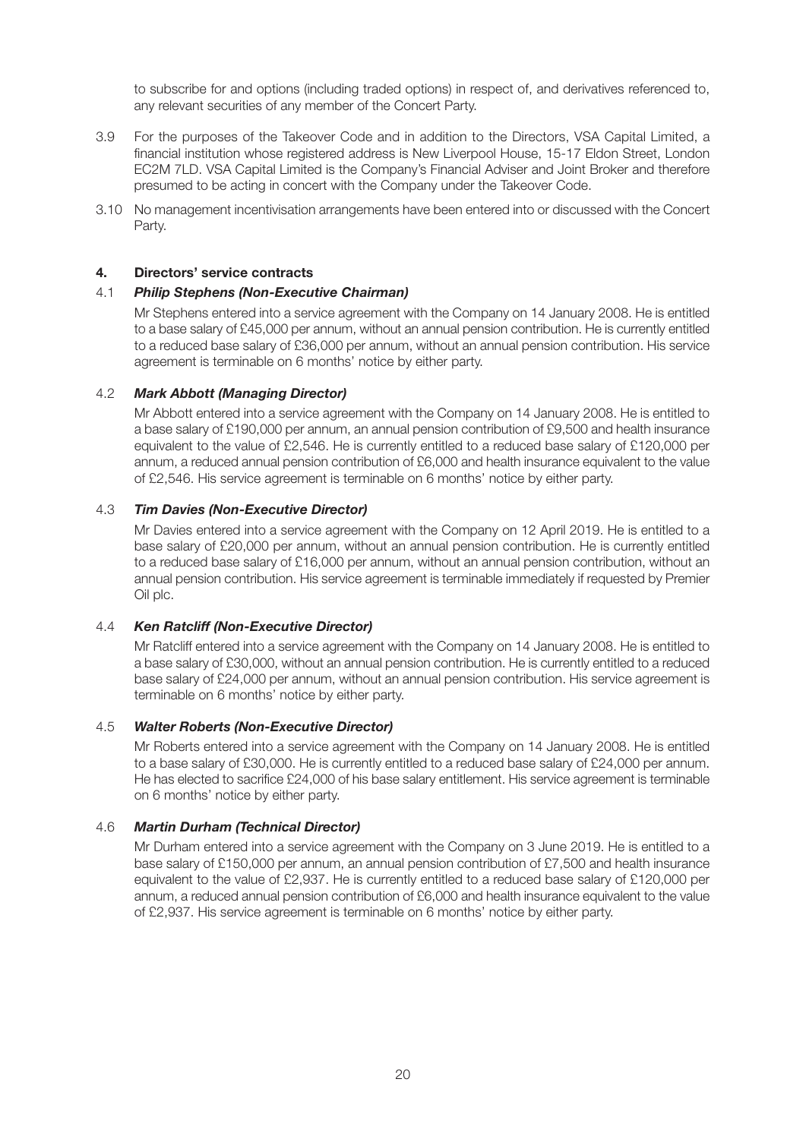to subscribe for and options (including traded options) in respect of, and derivatives referenced to, any relevant securities of any member of the Concert Party.

- 3.9 For the purposes of the Takeover Code and in addition to the Directors, VSA Capital Limited, a financial institution whose registered address is New Liverpool House, 15-17 Eldon Street, London EC2M 7LD. VSA Capital Limited is the Company's Financial Adviser and Joint Broker and therefore presumed to be acting in concert with the Company under the Takeover Code.
- 3.10 No management incentivisation arrangements have been entered into or discussed with the Concert Party.

#### **4. Directors' service contracts**

#### 4.1 *Philip Stephens (Non-Executive Chairman)*

Mr Stephens entered into a service agreement with the Company on 14 January 2008. He is entitled to a base salary of £45,000 per annum, without an annual pension contribution. He is currently entitled to a reduced base salary of £36,000 per annum, without an annual pension contribution. His service agreement is terminable on 6 months' notice by either party.

#### 4.2 *Mark Abbott (Managing Director)*

Mr Abbott entered into a service agreement with the Company on 14 January 2008. He is entitled to a base salary of £190,000 per annum, an annual pension contribution of £9,500 and health insurance equivalent to the value of £2,546. He is currently entitled to a reduced base salary of £120,000 per annum, a reduced annual pension contribution of £6,000 and health insurance equivalent to the value of £2,546. His service agreement is terminable on 6 months' notice by either party.

#### 4.3 *Tim Davies (Non-Executive Director)*

Mr Davies entered into a service agreement with the Company on 12 April 2019. He is entitled to a base salary of £20,000 per annum, without an annual pension contribution. He is currently entitled to a reduced base salary of £16,000 per annum, without an annual pension contribution, without an annual pension contribution. His service agreement is terminable immediately if requested by Premier Oil plc.

#### 4.4 *Ken Ratcliff (Non-Executive Director)*

Mr Ratcliff entered into a service agreement with the Company on 14 January 2008. He is entitled to a base salary of £30,000, without an annual pension contribution. He is currently entitled to a reduced base salary of £24,000 per annum, without an annual pension contribution. His service agreement is terminable on 6 months' notice by either party.

#### 4.5 *Walter Roberts (Non-Executive Director)*

Mr Roberts entered into a service agreement with the Company on 14 January 2008. He is entitled to a base salary of £30,000. He is currently entitled to a reduced base salary of £24,000 per annum. He has elected to sacrifice £24,000 of his base salary entitlement. His service agreement is terminable on 6 months' notice by either party.

#### 4.6 *Martin Durham (Technical Director)*

Mr Durham entered into a service agreement with the Company on 3 June 2019. He is entitled to a base salary of £150,000 per annum, an annual pension contribution of £7,500 and health insurance equivalent to the value of £2,937. He is currently entitled to a reduced base salary of £120,000 per annum, a reduced annual pension contribution of £6,000 and health insurance equivalent to the value of £2,937. His service agreement is terminable on 6 months' notice by either party.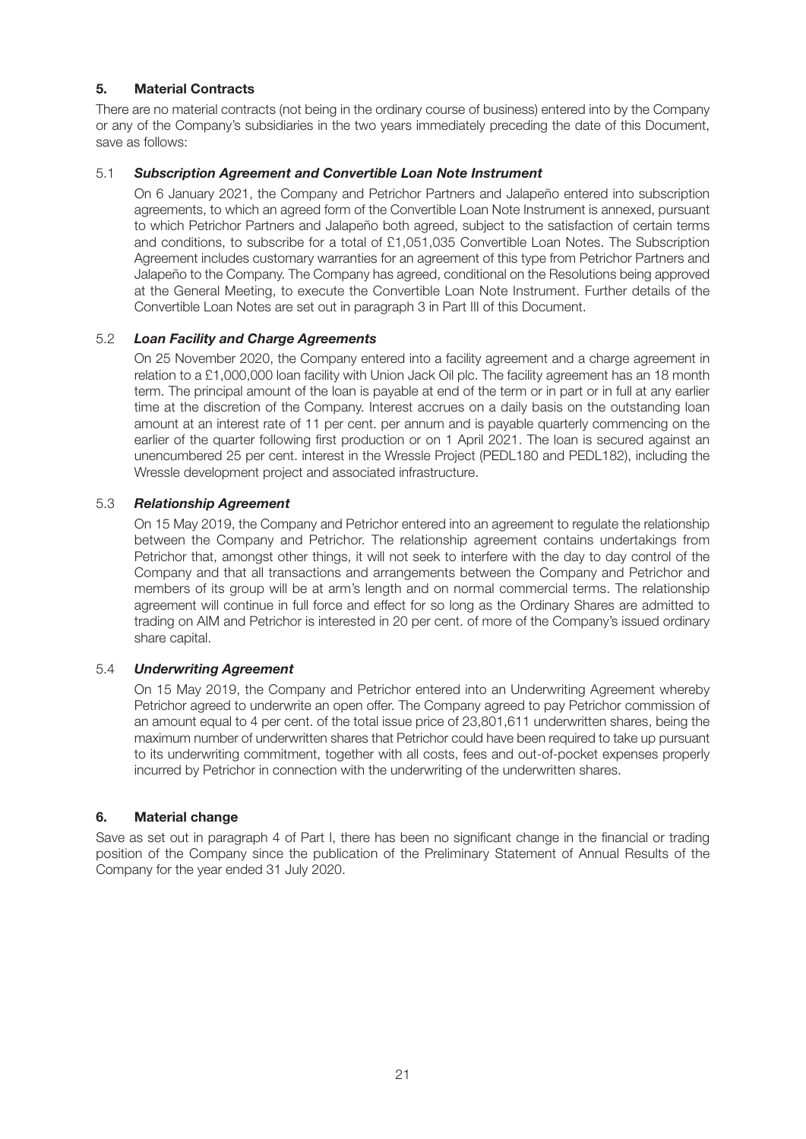# **5. Material Contracts**

There are no material contracts (not being in the ordinary course of business) entered into by the Company or any of the Company's subsidiaries in the two years immediately preceding the date of this Document, save as follows:

#### 5.1 *Subscription Agreement and Convertible Loan Note Instrument*

On 6 January 2021, the Company and Petrichor Partners and Jalapeño entered into subscription agreements, to which an agreed form of the Convertible Loan Note Instrument is annexed, pursuant to which Petrichor Partners and Jalapeño both agreed, subject to the satisfaction of certain terms and conditions, to subscribe for a total of £1,051,035 Convertible Loan Notes. The Subscription Agreement includes customary warranties for an agreement of this type from Petrichor Partners and Jalapeño to the Company. The Company has agreed, conditional on the Resolutions being approved at the General Meeting, to execute the Convertible Loan Note Instrument. Further details of the Convertible Loan Notes are set out in paragraph 3 in Part III of this Document.

#### 5.2 *Loan Facility and Charge Agreements*

On 25 November 2020, the Company entered into a facility agreement and a charge agreement in relation to a £1,000,000 loan facility with Union Jack Oil plc. The facility agreement has an 18 month term. The principal amount of the loan is payable at end of the term or in part or in full at any earlier time at the discretion of the Company. Interest accrues on a daily basis on the outstanding loan amount at an interest rate of 11 per cent. per annum and is payable quarterly commencing on the earlier of the quarter following first production or on 1 April 2021. The loan is secured against an unencumbered 25 per cent. interest in the Wressle Project (PEDL180 and PEDL182), including the Wressle development project and associated infrastructure.

#### 5.3 *Relationship Agreement*

On 15 May 2019, the Company and Petrichor entered into an agreement to regulate the relationship between the Company and Petrichor. The relationship agreement contains undertakings from Petrichor that, amongst other things, it will not seek to interfere with the day to day control of the Company and that all transactions and arrangements between the Company and Petrichor and members of its group will be at arm's length and on normal commercial terms. The relationship agreement will continue in full force and effect for so long as the Ordinary Shares are admitted to trading on AIM and Petrichor is interested in 20 per cent. of more of the Company's issued ordinary share capital.

#### 5.4 *Underwriting Agreement*

On 15 May 2019, the Company and Petrichor entered into an Underwriting Agreement whereby Petrichor agreed to underwrite an open offer. The Company agreed to pay Petrichor commission of an amount equal to 4 per cent. of the total issue price of 23,801,611 underwritten shares, being the maximum number of underwritten shares that Petrichor could have been required to take up pursuant to its underwriting commitment, together with all costs, fees and out-of-pocket expenses properly incurred by Petrichor in connection with the underwriting of the underwritten shares.

#### **6. Material change**

Save as set out in paragraph 4 of Part I, there has been no significant change in the financial or trading position of the Company since the publication of the Preliminary Statement of Annual Results of the Company for the year ended 31 July 2020.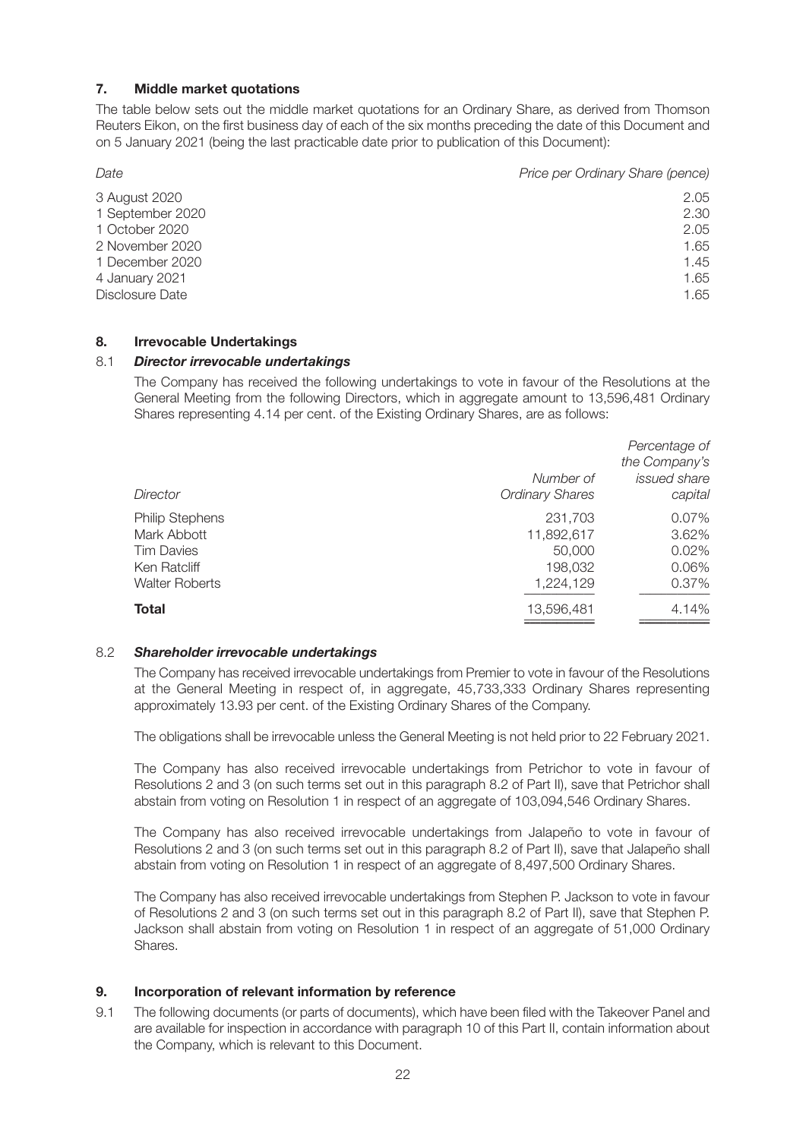# **7. Middle market quotations**

The table below sets out the middle market quotations for an Ordinary Share, as derived from Thomson Reuters Eikon, on the first business day of each of the six months preceding the date of this Document and on 5 January 2021 (being the last practicable date prior to publication of this Document):

| Date             | Price per Ordinary Share (pence) |
|------------------|----------------------------------|
| 3 August 2020    | 2.05                             |
| 1 September 2020 | 2.30                             |
| 1 October 2020   | 2.05                             |
| 2 November 2020  | 1.65                             |
| 1 December 2020  | 1.45                             |
| 4 January 2021   | 1.65                             |
| Disclosure Date  | 1.65                             |
|                  |                                  |

#### **8. Irrevocable Undertakings**

#### 8.1 *Director irrevocable undertakings*

The Company has received the following undertakings to vote in favour of the Resolutions at the General Meeting from the following Directors, which in aggregate amount to 13,596,481 Ordinary Shares representing 4.14 per cent. of the Existing Ordinary Shares, are as follows:

| Director                                                                                            | Number of<br><b>Ordinary Shares</b>                     | Percentage of<br>the Company's<br>issued share<br>capital |
|-----------------------------------------------------------------------------------------------------|---------------------------------------------------------|-----------------------------------------------------------|
| <b>Philip Stephens</b><br>Mark Abbott<br><b>Tim Davies</b><br>Ken Ratcliff<br><b>Walter Roberts</b> | 231,703<br>11,892,617<br>50,000<br>198,032<br>1,224,129 | 0.07%<br>3.62%<br>0.02%<br>0.06%<br>0.37%                 |
| <b>Total</b>                                                                                        | 13,596,481                                              | 4.14%                                                     |

#### 8.2 *Shareholder irrevocable undertakings*

The Company has received irrevocable undertakings from Premier to vote in favour of the Resolutions at the General Meeting in respect of, in aggregate, 45,733,333 Ordinary Shares representing approximately 13.93 per cent. of the Existing Ordinary Shares of the Company.

The obligations shall be irrevocable unless the General Meeting is not held prior to 22 February 2021.

The Company has also received irrevocable undertakings from Petrichor to vote in favour of Resolutions 2 and 3 (on such terms set out in this paragraph 8.2 of Part II), save that Petrichor shall abstain from voting on Resolution 1 in respect of an aggregate of 103,094,546 Ordinary Shares.

The Company has also received irrevocable undertakings from Jalapeño to vote in favour of Resolutions 2 and 3 (on such terms set out in this paragraph 8.2 of Part II), save that Jalapeño shall abstain from voting on Resolution 1 in respect of an aggregate of 8,497,500 Ordinary Shares.

The Company has also received irrevocable undertakings from Stephen P. Jackson to vote in favour of Resolutions 2 and 3 (on such terms set out in this paragraph 8.2 of Part II), save that Stephen P. Jackson shall abstain from voting on Resolution 1 in respect of an aggregate of 51,000 Ordinary Shares.

#### **9. Incorporation of relevant information by reference**

9.1 The following documents (or parts of documents), which have been filed with the Takeover Panel and are available for inspection in accordance with paragraph 10 of this Part II, contain information about the Company, which is relevant to this Document.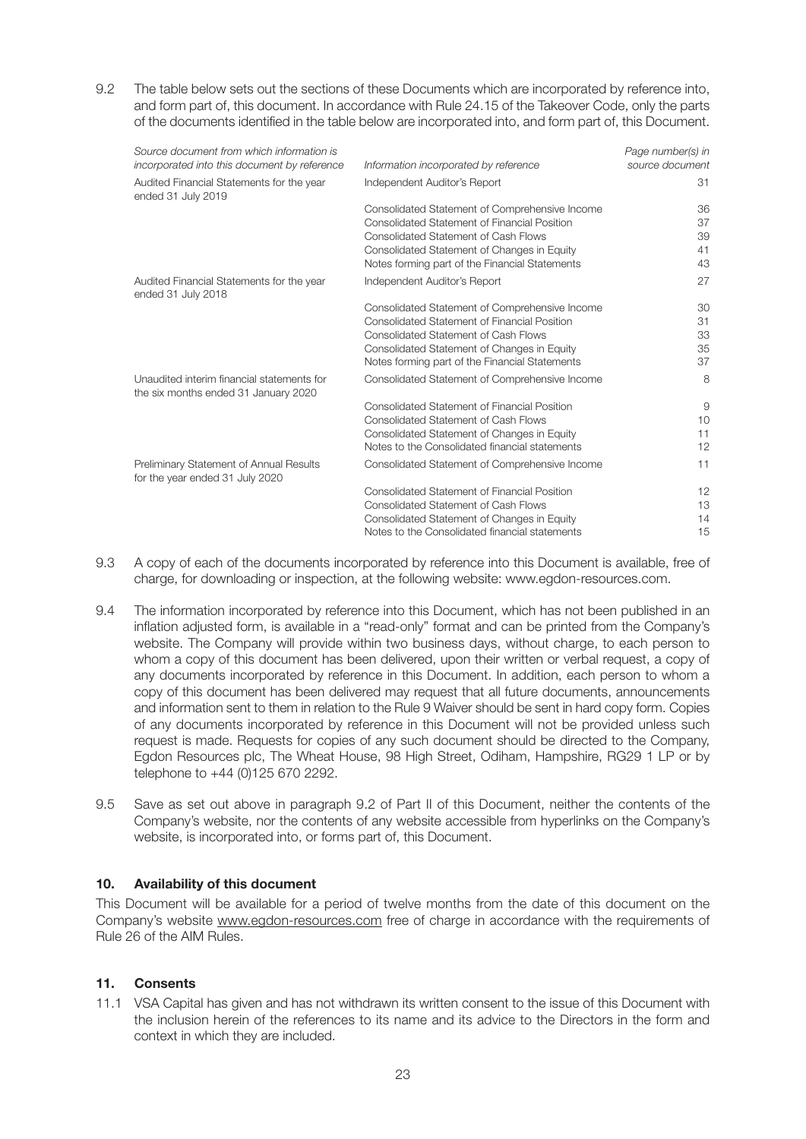9.2 The table below sets out the sections of these Documents which are incorporated by reference into, and form part of, this document. In accordance with Rule 24.15 of the Takeover Code, only the parts of the documents identified in the table below are incorporated into, and form part of, this Document.

| Source document from which information is<br>incorporated into this document by reference | Information incorporated by reference          | Page number(s) in<br>source document |
|-------------------------------------------------------------------------------------------|------------------------------------------------|--------------------------------------|
| Audited Financial Statements for the year<br>ended 31 July 2019                           | Independent Auditor's Report                   | 31                                   |
|                                                                                           | Consolidated Statement of Comprehensive Income | 36                                   |
|                                                                                           | Consolidated Statement of Financial Position   | 37                                   |
|                                                                                           | Consolidated Statement of Cash Flows           | 39                                   |
|                                                                                           | Consolidated Statement of Changes in Equity    | 41                                   |
|                                                                                           | Notes forming part of the Financial Statements | 43                                   |
| Audited Financial Statements for the year<br>ended 31 July 2018                           | Independent Auditor's Report                   | 27                                   |
|                                                                                           | Consolidated Statement of Comprehensive Income | 30                                   |
|                                                                                           | Consolidated Statement of Financial Position   | 31                                   |
|                                                                                           | Consolidated Statement of Cash Flows           | 33                                   |
|                                                                                           | Consolidated Statement of Changes in Equity    | 35                                   |
|                                                                                           | Notes forming part of the Financial Statements | 37                                   |
| Unaudited interim financial statements for<br>the six months ended 31 January 2020        | Consolidated Statement of Comprehensive Income | 8                                    |
|                                                                                           | Consolidated Statement of Financial Position   | 9                                    |
|                                                                                           | Consolidated Statement of Cash Flows           | 10                                   |
|                                                                                           | Consolidated Statement of Changes in Equity    | 11                                   |
|                                                                                           | Notes to the Consolidated financial statements | 12                                   |
| Preliminary Statement of Annual Results<br>for the year ended 31 July 2020                | Consolidated Statement of Comprehensive Income | 11                                   |
|                                                                                           | Consolidated Statement of Financial Position   | 12                                   |
|                                                                                           | Consolidated Statement of Cash Flows           | 13                                   |
|                                                                                           | Consolidated Statement of Changes in Equity    | 14                                   |
|                                                                                           | Notes to the Consolidated financial statements | 15                                   |
|                                                                                           |                                                |                                      |

- 9.3 A copy of each of the documents incorporated by reference into this Document is available, free of charge, for downloading or inspection, at the following website: www.egdon-resources.com.
- 9.4 The information incorporated by reference into this Document, which has not been published in an inflation adjusted form, is available in a "read-only" format and can be printed from the Company's website. The Company will provide within two business days, without charge, to each person to whom a copy of this document has been delivered, upon their written or verbal request, a copy of any documents incorporated by reference in this Document. In addition, each person to whom a copy of this document has been delivered may request that all future documents, announcements and information sent to them in relation to the Rule 9 Waiver should be sent in hard copy form. Copies of any documents incorporated by reference in this Document will not be provided unless such request is made. Requests for copies of any such document should be directed to the Company, Egdon Resources plc, The Wheat House, 98 High Street, Odiham, Hampshire, RG29 1 LP or by telephone to +44 (0)125 670 2292.
- 9.5 Save as set out above in paragraph 9.2 of Part II of this Document, neither the contents of the Company's website, nor the contents of any website accessible from hyperlinks on the Company's website, is incorporated into, or forms part of, this Document.

#### **10. Availability of this document**

This Document will be available for a period of twelve months from the date of this document on the Company's website www.egdon-resources.com free of charge in accordance with the requirements of Rule 26 of the AIM Rules.

#### **11. Consents**

11.1 VSA Capital has given and has not withdrawn its written consent to the issue of this Document with the inclusion herein of the references to its name and its advice to the Directors in the form and context in which they are included.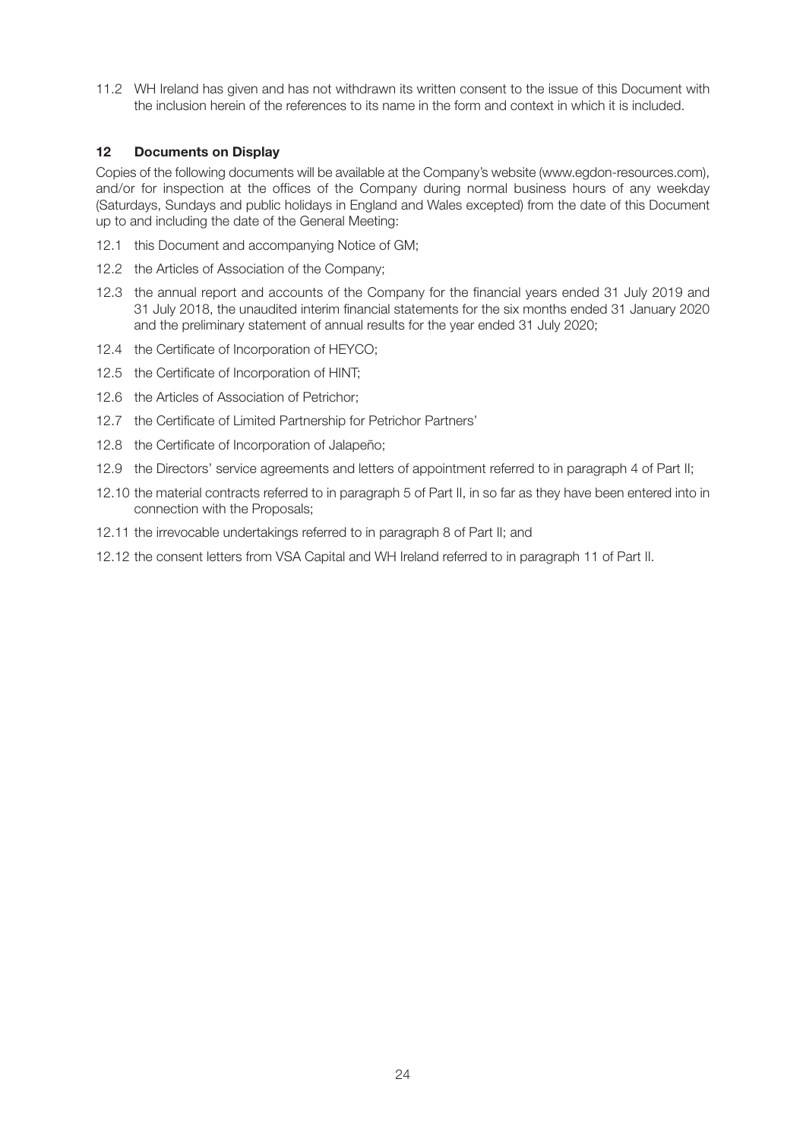11.2 WH Ireland has given and has not withdrawn its written consent to the issue of this Document with the inclusion herein of the references to its name in the form and context in which it is included.

#### **12 Documents on Display**

Copies of the following documents will be available at the Company's website (www.egdon-resources.com), and/or for inspection at the offices of the Company during normal business hours of any weekday (Saturdays, Sundays and public holidays in England and Wales excepted) from the date of this Document up to and including the date of the General Meeting:

- 12.1 this Document and accompanying Notice of GM;
- 12.2 the Articles of Association of the Company;
- 12.3 the annual report and accounts of the Company for the financial years ended 31 July 2019 and 31 July 2018, the unaudited interim financial statements for the six months ended 31 January 2020 and the preliminary statement of annual results for the year ended 31 July 2020;
- 12.4 the Certificate of Incorporation of HEYCO;
- 12.5 the Certificate of Incorporation of HINT;
- 12.6 the Articles of Association of Petrichor;
- 12.7 the Certificate of Limited Partnership for Petrichor Partners'
- 12.8 the Certificate of Incorporation of Jalapeño;
- 12.9 the Directors' service agreements and letters of appointment referred to in paragraph 4 of Part II;
- 12.10 the material contracts referred to in paragraph 5 of Part II, in so far as they have been entered into in connection with the Proposals;
- 12.11 the irrevocable undertakings referred to in paragraph 8 of Part II; and
- 12.12 the consent letters from VSA Capital and WH Ireland referred to in paragraph 11 of Part II.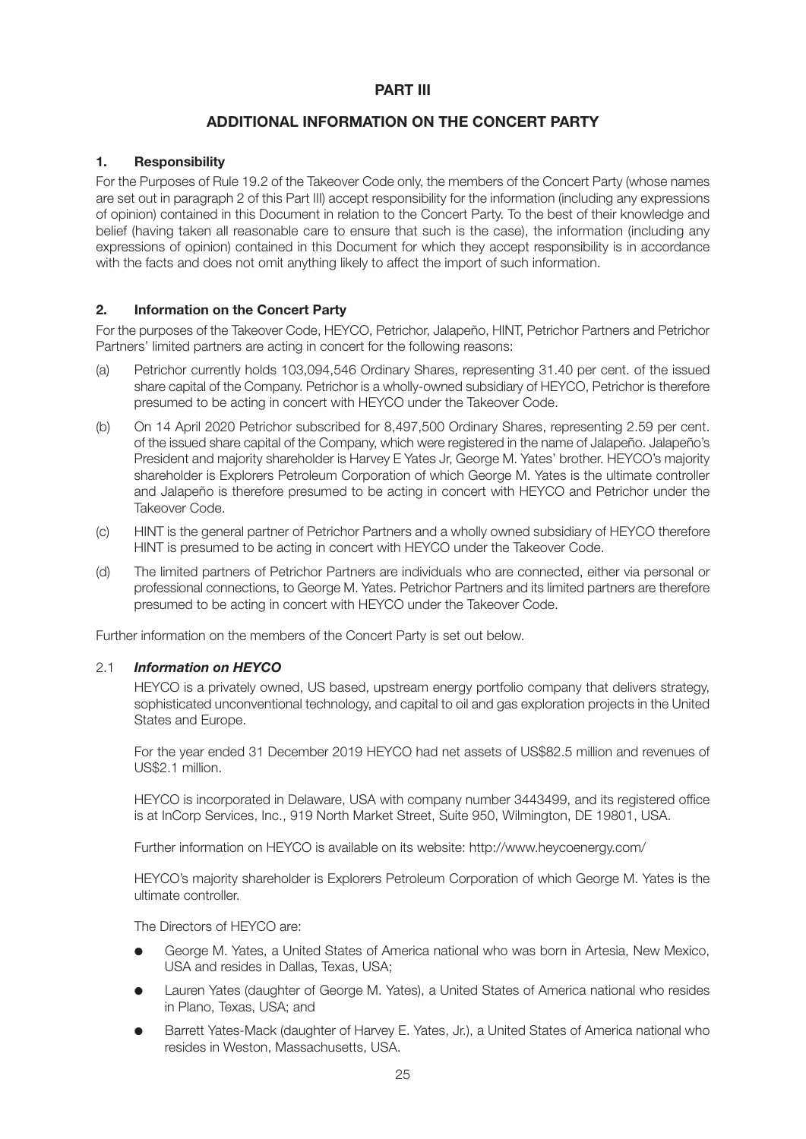# **PART III**

# **ADDITIONAL INFORMATION ON THE CONCERT PARTY**

# **1. Responsibility**

For the Purposes of Rule 19.2 of the Takeover Code only, the members of the Concert Party (whose names are set out in paragraph 2 of this Part III) accept responsibility for the information (including any expressions of opinion) contained in this Document in relation to the Concert Party. To the best of their knowledge and belief (having taken all reasonable care to ensure that such is the case), the information (including any expressions of opinion) contained in this Document for which they accept responsibility is in accordance with the facts and does not omit anything likely to affect the import of such information.

# **2. Information on the Concert Party**

For the purposes of the Takeover Code, HEYCO, Petrichor, Jalapeño, HINT, Petrichor Partners and Petrichor Partners' limited partners are acting in concert for the following reasons:

- (a) Petrichor currently holds 103,094,546 Ordinary Shares, representing 31.40 per cent. of the issued share capital of the Company. Petrichor is a wholly-owned subsidiary of HEYCO, Petrichor is therefore presumed to be acting in concert with HEYCO under the Takeover Code.
- (b) On 14 April 2020 Petrichor subscribed for 8,497,500 Ordinary Shares, representing 2.59 per cent. of the issued share capital of the Company, which were registered in the name of Jalapeño. Jalapeño's President and majority shareholder is Harvey E Yates Jr, George M. Yates' brother. HEYCO's majority shareholder is Explorers Petroleum Corporation of which George M. Yates is the ultimate controller and Jalapeño is therefore presumed to be acting in concert with HEYCO and Petrichor under the Takeover Code.
- (c) HINT is the general partner of Petrichor Partners and a wholly owned subsidiary of HEYCO therefore HINT is presumed to be acting in concert with HEYCO under the Takeover Code.
- (d) The limited partners of Petrichor Partners are individuals who are connected, either via personal or professional connections, to George M. Yates. Petrichor Partners and its limited partners are therefore presumed to be acting in concert with HEYCO under the Takeover Code.

Further information on the members of the Concert Party is set out below.

#### 2.1 *Information on HEYCO*

HEYCO is a privately owned, US based, upstream energy portfolio company that delivers strategy, sophisticated unconventional technology, and capital to oil and gas exploration projects in the United States and Europe.

For the year ended 31 December 2019 HEYCO had net assets of US\$82.5 million and revenues of US\$2.1 million.

HEYCO is incorporated in Delaware, USA with company number 3443499, and its registered office is at InCorp Services, Inc., 919 North Market Street, Suite 950, Wilmington, DE 19801, USA.

Further information on HEYCO is available on its website: http://www.heycoenergy.com/

HEYCO's majority shareholder is Explorers Petroleum Corporation of which George M. Yates is the ultimate controller.

The Directors of HEYCO are:

- l George M. Yates, a United States of America national who was born in Artesia, New Mexico, USA and resides in Dallas, Texas, USA;
- l Lauren Yates (daughter of George M. Yates), a United States of America national who resides in Plano, Texas, USA; and
- Barrett Yates-Mack (daughter of Harvey E. Yates, Jr.), a United States of America national who resides in Weston, Massachusetts, USA.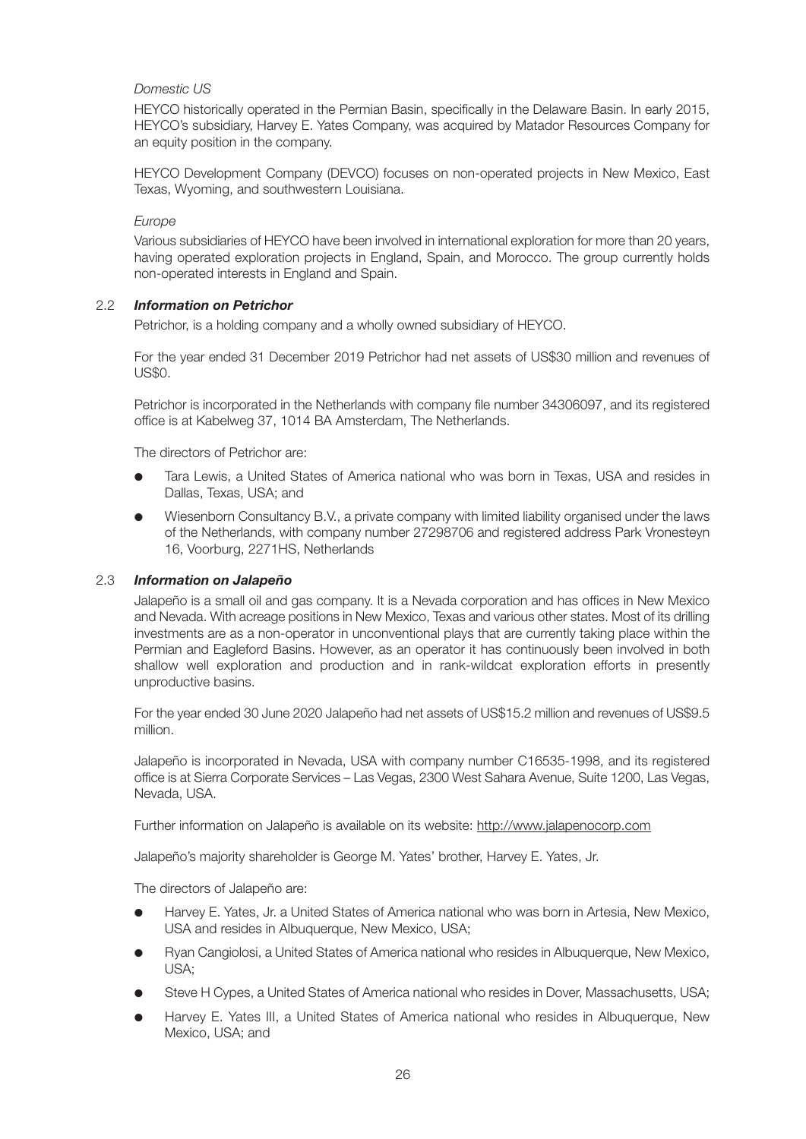# *Domestic US*

HEYCO historically operated in the Permian Basin, specifically in the Delaware Basin. In early 2015, HEYCO's subsidiary, Harvey E. Yates Company, was acquired by Matador Resources Company for an equity position in the company.

HEYCO Development Company (DEVCO) focuses on non-operated projects in New Mexico, East Texas, Wyoming, and southwestern Louisiana.

#### *Europe*

Various subsidiaries of HEYCO have been involved in international exploration for more than 20 years, having operated exploration projects in England, Spain, and Morocco. The group currently holds non-operated interests in England and Spain.

#### 2.2 *Information on Petrichor*

Petrichor, is a holding company and a wholly owned subsidiary of HEYCO.

For the year ended 31 December 2019 Petrichor had net assets of US\$30 million and revenues of US\$0.

Petrichor is incorporated in the Netherlands with company file number 34306097, and its registered office is at Kabelweg 37, 1014 BA Amsterdam, The Netherlands.

The directors of Petrichor are:

- l Tara Lewis, a United States of America national who was born in Texas, USA and resides in Dallas, Texas, USA; and
- l Wiesenborn Consultancy B.V., a private company with limited liability organised under the laws of the Netherlands, with company number 27298706 and registered address Park Vronesteyn 16, Voorburg, 2271HS, Netherlands

#### 2.3 *Information on Jalapeño*

Jalapeño is a small oil and gas company. It is a Nevada corporation and has offices in New Mexico and Nevada. With acreage positions in New Mexico, Texas and various other states. Most of its drilling investments are as a non-operator in unconventional plays that are currently taking place within the Permian and Eagleford Basins. However, as an operator it has continuously been involved in both shallow well exploration and production and in rank-wildcat exploration efforts in presently unproductive basins.

For the year ended 30 June 2020 Jalapeño had net assets of US\$15.2 million and revenues of US\$9.5 million.

Jalapeño is incorporated in Nevada, USA with company number C16535-1998, and its registered office is at Sierra Corporate Services – Las Vegas, 2300 West Sahara Avenue, Suite 1200, Las Vegas, Nevada, USA.

Further information on Jalapeño is available on its website: http://www.jalapenocorp.com

Jalapeño's majority shareholder is George M. Yates' brother, Harvey E. Yates, Jr.

The directors of Jalapeño are:

- Harvey E. Yates, Jr. a United States of America national who was born in Artesia, New Mexico, USA and resides in Albuquerque, New Mexico, USA;
- l Ryan Cangiolosi, a United States of America national who resides in Albuquerque, New Mexico, USA;
- Steve H Cypes, a United States of America national who resides in Dover, Massachusetts, USA;
- l Harvey E. Yates III, a United States of America national who resides in Albuquerque, New Mexico, USA; and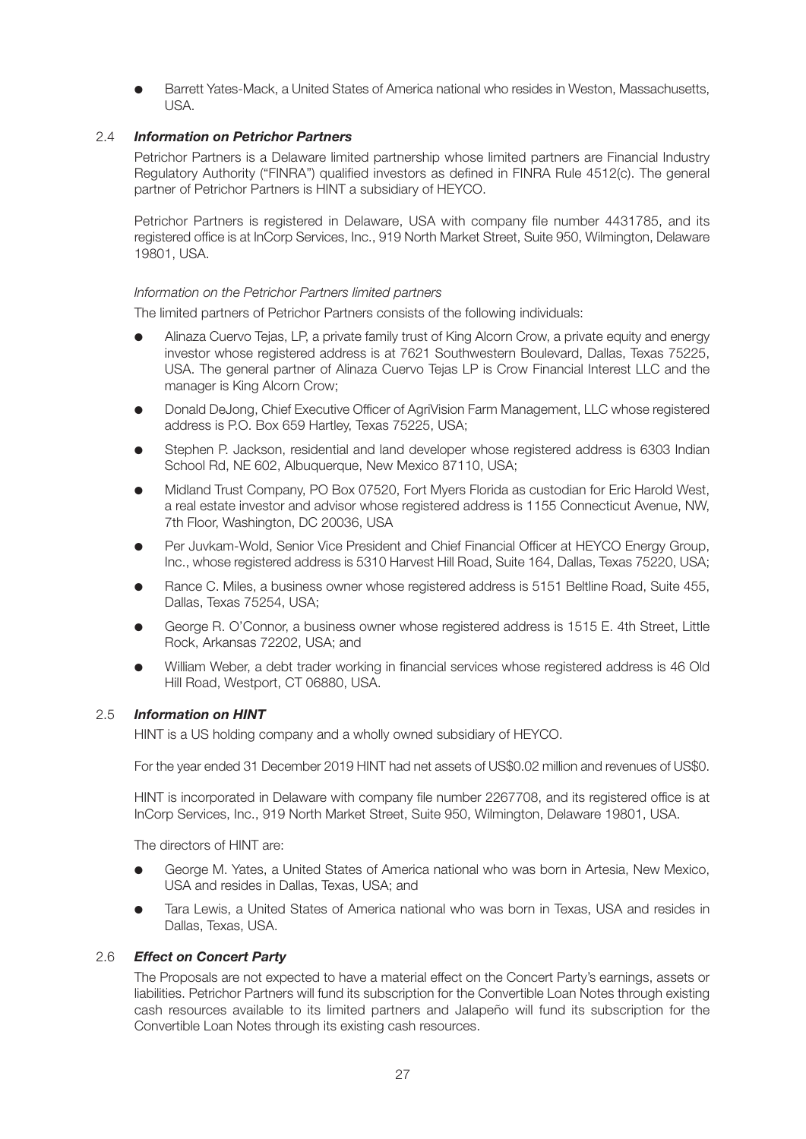l Barrett Yates-Mack, a United States of America national who resides in Weston, Massachusetts, USA.

# 2.4 *Information on Petrichor Partners*

Petrichor Partners is a Delaware limited partnership whose limited partners are Financial Industry Regulatory Authority ("FINRA") qualified investors as defined in FINRA Rule 4512(c). The general partner of Petrichor Partners is HINT a subsidiary of HEYCO.

Petrichor Partners is registered in Delaware, USA with company file number 4431785, and its registered office is at InCorp Services, Inc., 919 North Market Street, Suite 950, Wilmington, Delaware 19801, USA.

#### *Information on the Petrichor Partners limited partners*

The limited partners of Petrichor Partners consists of the following individuals:

- l Alinaza Cuervo Tejas, LP, a private family trust of King Alcorn Crow, a private equity and energy investor whose registered address is at 7621 Southwestern Boulevard, Dallas, Texas 75225, USA. The general partner of Alinaza Cuervo Tejas LP is Crow Financial Interest LLC and the manager is King Alcorn Crow;
- l Donald DeJong, Chief Executive Officer of AgriVision Farm Management, LLC whose registered address is P.O. Box 659 Hartley, Texas 75225, USA;
- l Stephen P. Jackson, residential and land developer whose registered address is 6303 Indian School Rd, NE 602, Albuquerque, New Mexico 87110, USA;
- l Midland Trust Company, PO Box 07520, Fort Myers Florida as custodian for Eric Harold West, a real estate investor and advisor whose registered address is 1155 Connecticut Avenue, NW, 7th Floor, Washington, DC 20036, USA
- l Per Juvkam-Wold, Senior Vice President and Chief Financial Officer at HEYCO Energy Group, Inc., whose registered address is 5310 Harvest Hill Road, Suite 164, Dallas, Texas 75220, USA;
- Rance C. Miles, a business owner whose registered address is 5151 Beltline Road, Suite 455, Dallas, Texas 75254, USA;
- l George R. O'Connor, a business owner whose registered address is 1515 E. 4th Street, Little Rock, Arkansas 72202, USA; and
- l William Weber, a debt trader working in financial services whose registered address is 46 Old Hill Road, Westport, CT 06880, USA.

#### 2.5 *Information on HINT*

HINT is a US holding company and a wholly owned subsidiary of HEYCO.

For the year ended 31 December 2019 HINT had net assets of US\$0.02 million and revenues of US\$0.

HINT is incorporated in Delaware with company file number 2267708, and its registered office is at InCorp Services, Inc., 919 North Market Street, Suite 950, Wilmington, Delaware 19801, USA.

The directors of HINT are:

- l George M. Yates, a United States of America national who was born in Artesia, New Mexico, USA and resides in Dallas, Texas, USA; and
- Tara Lewis, a United States of America national who was born in Texas, USA and resides in Dallas, Texas, USA.

#### 2.6 *Effect on Concert Party*

The Proposals are not expected to have a material effect on the Concert Party's earnings, assets or liabilities. Petrichor Partners will fund its subscription for the Convertible Loan Notes through existing cash resources available to its limited partners and Jalapeño will fund its subscription for the Convertible Loan Notes through its existing cash resources.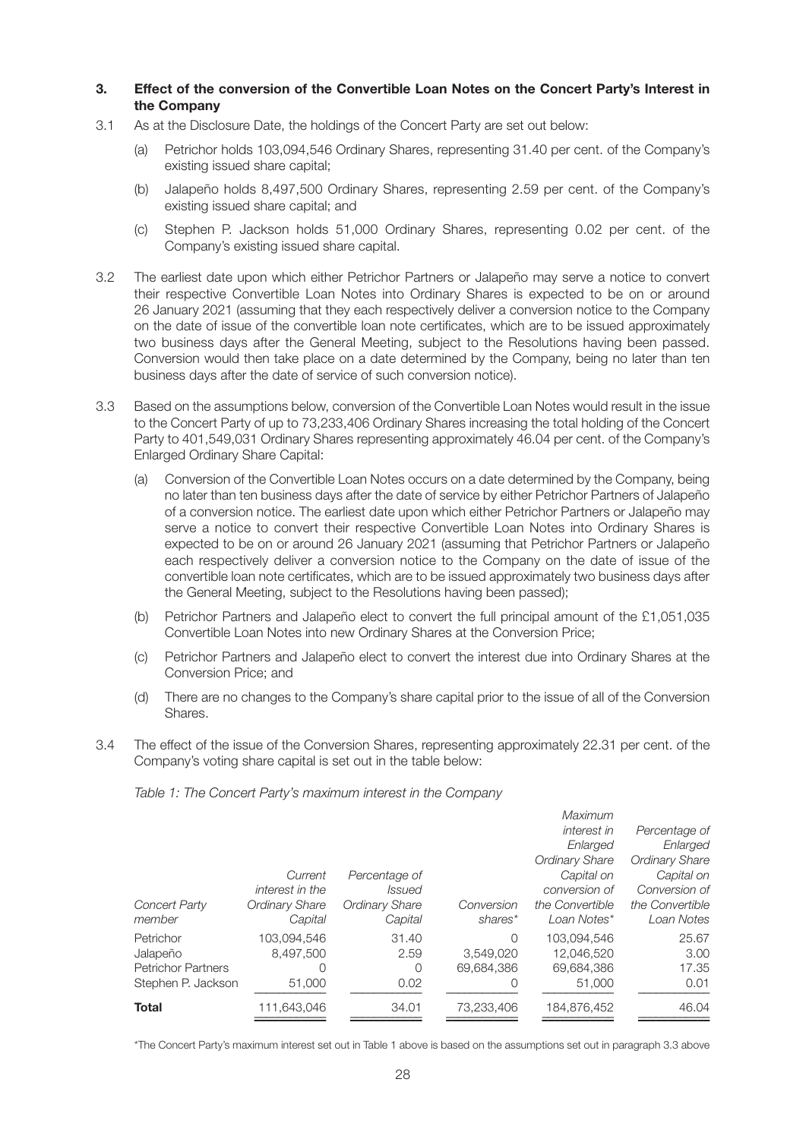#### **3. Effect of the conversion of the Convertible Loan Notes on the Concert Party's Interest in the Company**

- 3.1 As at the Disclosure Date, the holdings of the Concert Party are set out below:
	- (a) Petrichor holds 103,094,546 Ordinary Shares, representing 31.40 per cent. of the Company's existing issued share capital;
	- (b) Jalapeño holds 8,497,500 Ordinary Shares, representing 2.59 per cent. of the Company's existing issued share capital; and
	- (c) Stephen P. Jackson holds 51,000 Ordinary Shares, representing 0.02 per cent. of the Company's existing issued share capital.
- 3.2 The earliest date upon which either Petrichor Partners or Jalapeño may serve a notice to convert their respective Convertible Loan Notes into Ordinary Shares is expected to be on or around 26 January 2021 (assuming that they each respectively deliver a conversion notice to the Company on the date of issue of the convertible loan note certificates, which are to be issued approximately two business days after the General Meeting, subject to the Resolutions having been passed. Conversion would then take place on a date determined by the Company, being no later than ten business days after the date of service of such conversion notice).
- 3.3 Based on the assumptions below, conversion of the Convertible Loan Notes would result in the issue to the Concert Party of up to 73,233,406 Ordinary Shares increasing the total holding of the Concert Party to 401,549,031 Ordinary Shares representing approximately 46.04 per cent. of the Company's Enlarged Ordinary Share Capital:
	- (a) Conversion of the Convertible Loan Notes occurs on a date determined by the Company, being no later than ten business days after the date of service by either Petrichor Partners of Jalapeño of a conversion notice. The earliest date upon which either Petrichor Partners or Jalapeño may serve a notice to convert their respective Convertible Loan Notes into Ordinary Shares is expected to be on or around 26 January 2021 (assuming that Petrichor Partners or Jalapeño each respectively deliver a conversion notice to the Company on the date of issue of the convertible loan note certificates, which are to be issued approximately two business days after the General Meeting, subject to the Resolutions having been passed);
	- (b) Petrichor Partners and Jalapeño elect to convert the full principal amount of the £1,051,035 Convertible Loan Notes into new Ordinary Shares at the Conversion Price;
	- (c) Petrichor Partners and Jalapeño elect to convert the interest due into Ordinary Shares at the Conversion Price; and
	- (d) There are no changes to the Company's share capital prior to the issue of all of the Conversion Shares.
- 3.4 The effect of the issue of the Conversion Shares, representing approximately 22.31 per cent. of the Company's voting share capital is set out in the table below:

*Table 1: The Concert Party's maximum interest in the Company* 

| <b>Concert Party</b><br>member                                           | Current<br>interest in the<br><b>Ordinary Share</b><br>Capital | Percentage of<br><i>Issued</i><br><b>Ordinary Share</b><br>Capital | Conversion<br>shares*                    | Maximum<br><i>interest in</i><br>Enlarged<br><b>Ordinary Share</b><br>Capital on<br>conversion of<br>the Convertible<br>Loan Notes* | Percentage of<br>Enlarged<br><b>Ordinary Share</b><br>Capital on<br>Conversion of<br>the Convertible<br>Loan Notes |
|--------------------------------------------------------------------------|----------------------------------------------------------------|--------------------------------------------------------------------|------------------------------------------|-------------------------------------------------------------------------------------------------------------------------------------|--------------------------------------------------------------------------------------------------------------------|
| Petrichor<br>Jalapeño<br><b>Petrichor Partners</b><br>Stephen P. Jackson | 103.094.546<br>8.497.500<br>0<br>51,000                        | 31.40<br>2.59<br>$\Omega$<br>0.02                                  | $\Omega$<br>3.549.020<br>69.684.386<br>0 | 103.094.546<br>12.046.520<br>69.684.386<br>51,000                                                                                   | 25.67<br>3.00<br>17.35<br>0.01                                                                                     |
| <b>Total</b>                                                             | 111,643,046                                                    | 34.01                                                              | 73,233,406                               | 184,876,452                                                                                                                         | 46.04                                                                                                              |

\*The Concert Party's maximum interest set out in Table 1 above is based on the assumptions set out in paragraph 3.3 above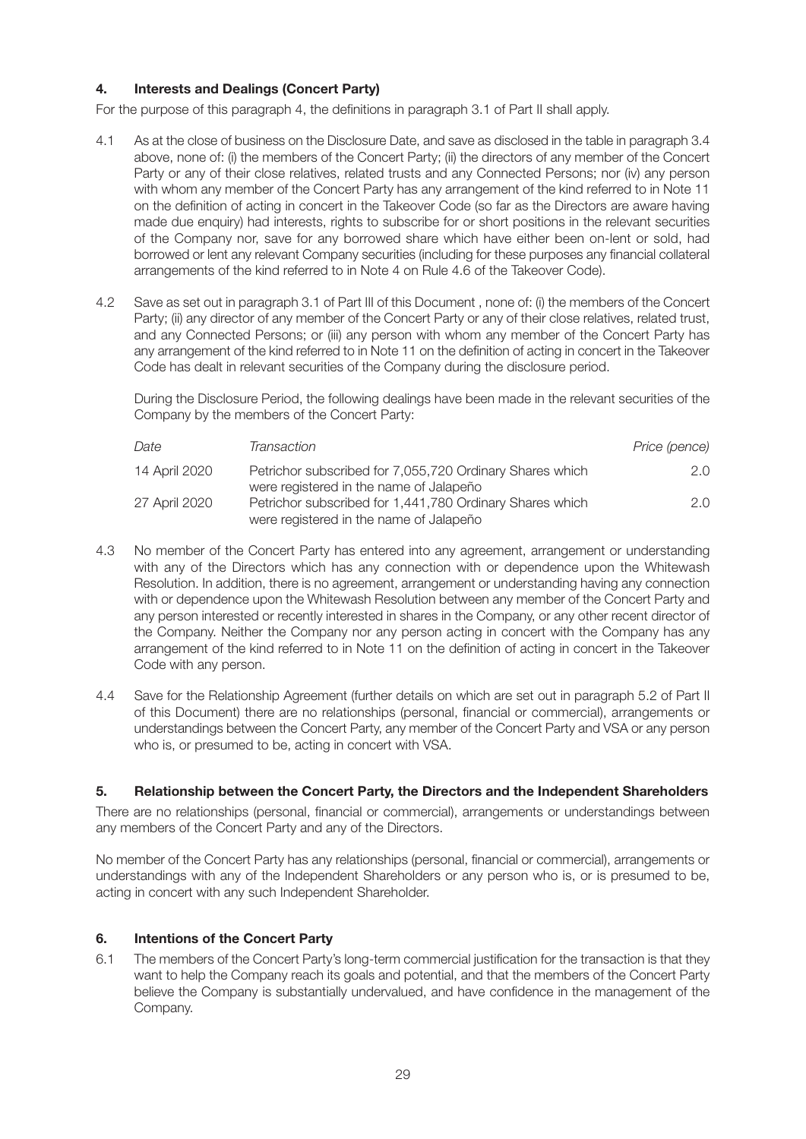# **4. Interests and Dealings (Concert Party)**

For the purpose of this paragraph 4, the definitions in paragraph 3.1 of Part II shall apply.

- 4.1 As at the close of business on the Disclosure Date, and save as disclosed in the table in paragraph 3.4 above, none of: (i) the members of the Concert Party; (ii) the directors of any member of the Concert Party or any of their close relatives, related trusts and any Connected Persons; nor (iv) any person with whom any member of the Concert Party has any arrangement of the kind referred to in Note 11 on the definition of acting in concert in the Takeover Code (so far as the Directors are aware having made due enquiry) had interests, rights to subscribe for or short positions in the relevant securities of the Company nor, save for any borrowed share which have either been on-lent or sold, had borrowed or lent any relevant Company securities (including for these purposes any financial collateral arrangements of the kind referred to in Note 4 on Rule 4.6 of the Takeover Code).
- 4.2 Save as set out in paragraph 3.1 of Part III of this Document , none of: (i) the members of the Concert Party; (ii) any director of any member of the Concert Party or any of their close relatives, related trust, and any Connected Persons; or (iii) any person with whom any member of the Concert Party has any arrangement of the kind referred to in Note 11 on the definition of acting in concert in the Takeover Code has dealt in relevant securities of the Company during the disclosure period.

During the Disclosure Period, the following dealings have been made in the relevant securities of the Company by the members of the Concert Party:

| Date          | Transaction                                                                                         | Price (pence) |
|---------------|-----------------------------------------------------------------------------------------------------|---------------|
| 14 April 2020 | Petrichor subscribed for 7,055,720 Ordinary Shares which<br>were registered in the name of Jalapeño | 2.0           |
| 27 April 2020 | Petrichor subscribed for 1,441,780 Ordinary Shares which<br>were registered in the name of Jalapeño | 2 $\Omega$    |

- 4.3 No member of the Concert Party has entered into any agreement, arrangement or understanding with any of the Directors which has any connection with or dependence upon the Whitewash Resolution. In addition, there is no agreement, arrangement or understanding having any connection with or dependence upon the Whitewash Resolution between any member of the Concert Party and any person interested or recently interested in shares in the Company, or any other recent director of the Company. Neither the Company nor any person acting in concert with the Company has any arrangement of the kind referred to in Note 11 on the definition of acting in concert in the Takeover Code with any person.
- 4.4 Save for the Relationship Agreement (further details on which are set out in paragraph 5.2 of Part II of this Document) there are no relationships (personal, financial or commercial), arrangements or understandings between the Concert Party, any member of the Concert Party and VSA or any person who is, or presumed to be, acting in concert with VSA.

#### **5. Relationship between the Concert Party, the Directors and the Independent Shareholders**

There are no relationships (personal, financial or commercial), arrangements or understandings between any members of the Concert Party and any of the Directors.

No member of the Concert Party has any relationships (personal, financial or commercial), arrangements or understandings with any of the Independent Shareholders or any person who is, or is presumed to be, acting in concert with any such Independent Shareholder.

# **6. Intentions of the Concert Party**

6.1 The members of the Concert Party's long-term commercial justification for the transaction is that they want to help the Company reach its goals and potential, and that the members of the Concert Party believe the Company is substantially undervalued, and have confidence in the management of the Company.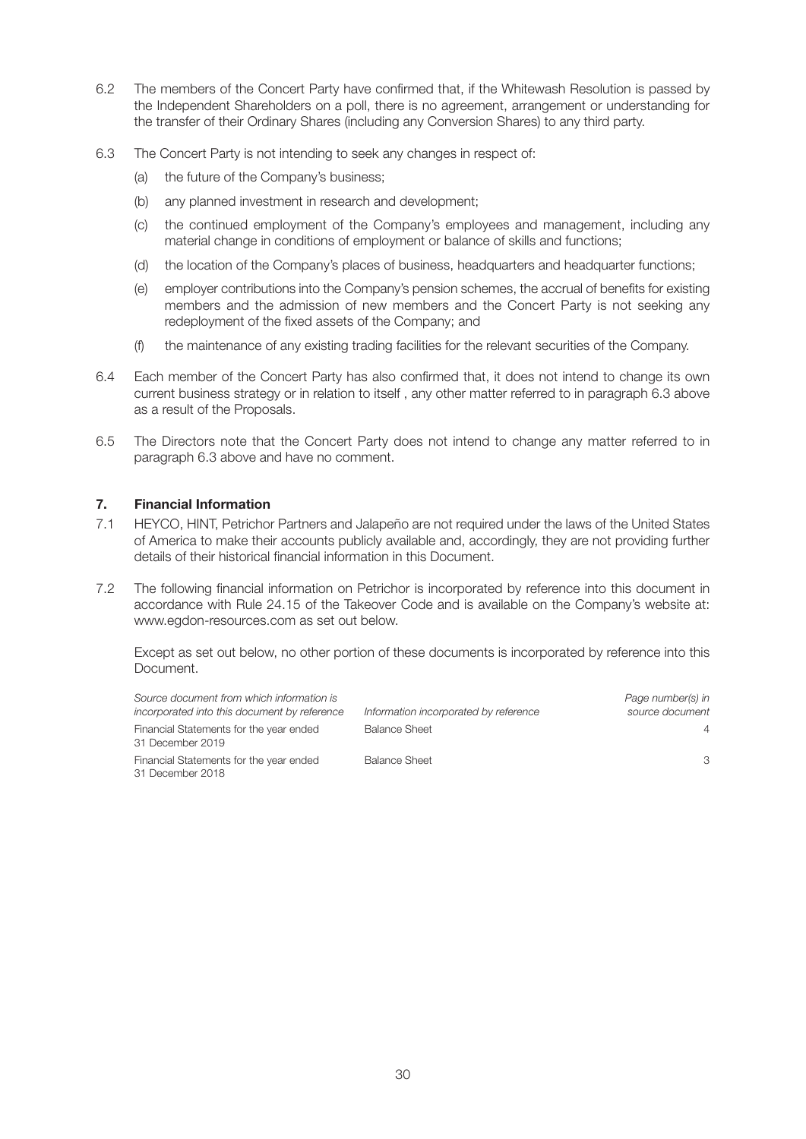- 6.2 The members of the Concert Party have confirmed that, if the Whitewash Resolution is passed by the Independent Shareholders on a poll, there is no agreement, arrangement or understanding for the transfer of their Ordinary Shares (including any Conversion Shares) to any third party.
- 6.3 The Concert Party is not intending to seek any changes in respect of:
	- (a) the future of the Company's business;
	- (b) any planned investment in research and development;
	- (c) the continued employment of the Company's employees and management, including any material change in conditions of employment or balance of skills and functions;
	- (d) the location of the Company's places of business, headquarters and headquarter functions;
	- (e) employer contributions into the Company's pension schemes, the accrual of benefits for existing members and the admission of new members and the Concert Party is not seeking any redeployment of the fixed assets of the Company; and
	- (f) the maintenance of any existing trading facilities for the relevant securities of the Company.
- 6.4 Each member of the Concert Party has also confirmed that, it does not intend to change its own current business strategy or in relation to itself , any other matter referred to in paragraph 6.3 above as a result of the Proposals.
- 6.5 The Directors note that the Concert Party does not intend to change any matter referred to in paragraph 6.3 above and have no comment.

### **7. Financial Information**

- 7.1 HEYCO, HINT, Petrichor Partners and Jalapeño are not required under the laws of the United States of America to make their accounts publicly available and, accordingly, they are not providing further details of their historical financial information in this Document.
- 7.2 The following financial information on Petrichor is incorporated by reference into this document in accordance with Rule 24.15 of the Takeover Code and is available on the Company's website at: www.egdon-resources.com as set out below.

Except as set out below, no other portion of these documents is incorporated by reference into this Document.

| Source document from which information is<br>incorporated into this document by reference | Information incorporated by reference | Page number(s) in<br>source document |
|-------------------------------------------------------------------------------------------|---------------------------------------|--------------------------------------|
| Financial Statements for the year ended<br>31 December 2019                               | <b>Balance Sheet</b>                  | $\overline{4}$                       |
| Financial Statements for the year ended<br>31 December 2018                               | <b>Balance Sheet</b>                  | 3                                    |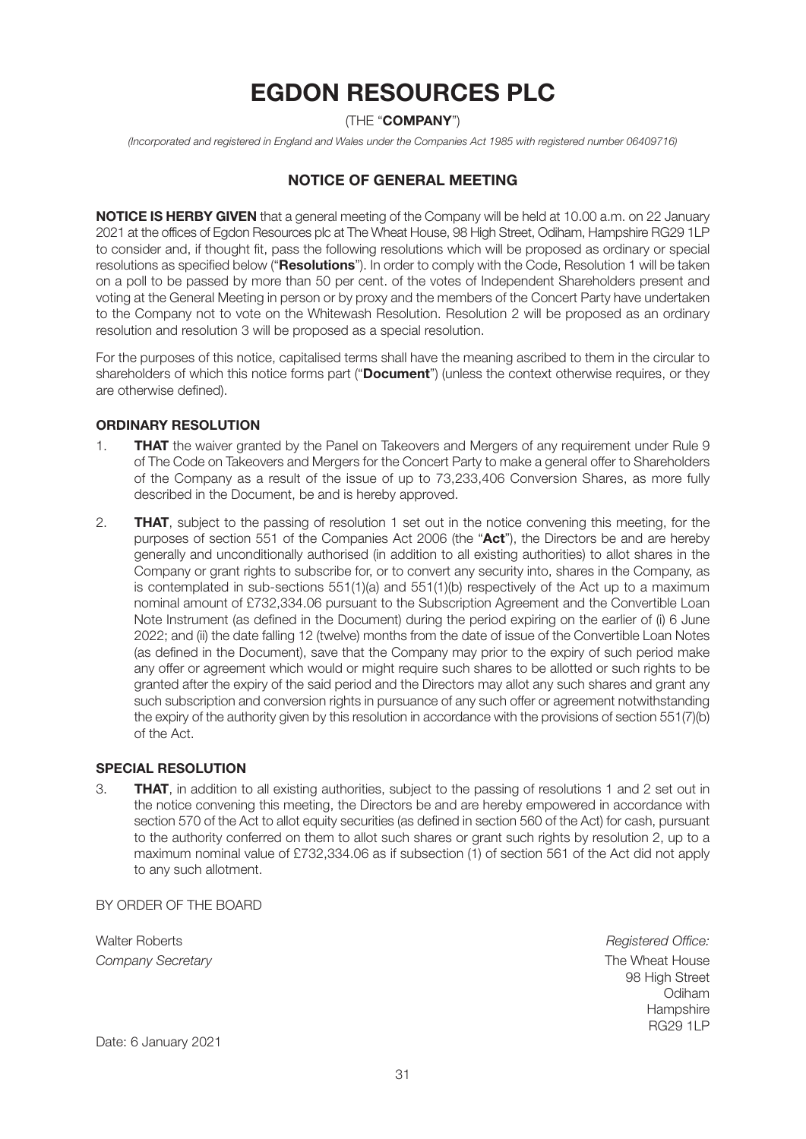# **EGDON RESOURCES PLC**

# (THE "**COMPANY**")

*(Incorporated and registered in England and Wales under the Companies Act 1985 with registered number 06409716)* 

# **NOTICE OF GENERAL MEETING**

**NOTICE IS HERBY GIVEN** that a general meeting of the Company will be held at 10.00 a.m. on 22 January 2021 at the offices of Egdon Resources plc at The Wheat House, 98 High Street, Odiham, Hampshire RG29 1LP to consider and, if thought fit, pass the following resolutions which will be proposed as ordinary or special resolutions as specified below ("**Resolutions**"). In order to comply with the Code, Resolution 1 will be taken on a poll to be passed by more than 50 per cent. of the votes of Independent Shareholders present and voting at the General Meeting in person or by proxy and the members of the Concert Party have undertaken to the Company not to vote on the Whitewash Resolution. Resolution 2 will be proposed as an ordinary resolution and resolution 3 will be proposed as a special resolution.

For the purposes of this notice, capitalised terms shall have the meaning ascribed to them in the circular to shareholders of which this notice forms part ("**Document**") (unless the context otherwise requires, or they are otherwise defined).

#### **ORDINARY RESOLUTION**

- 1. **THAT** the waiver granted by the Panel on Takeovers and Mergers of any requirement under Rule 9 of The Code on Takeovers and Mergers for the Concert Party to make a general offer to Shareholders of the Company as a result of the issue of up to 73,233,406 Conversion Shares, as more fully described in the Document, be and is hereby approved.
- 2. **THAT**, subject to the passing of resolution 1 set out in the notice convening this meeting, for the purposes of section 551 of the Companies Act 2006 (the "**Act**"), the Directors be and are hereby generally and unconditionally authorised (in addition to all existing authorities) to allot shares in the Company or grant rights to subscribe for, or to convert any security into, shares in the Company, as is contemplated in sub-sections  $551(1)(a)$  and  $551(1)(b)$  respectively of the Act up to a maximum nominal amount of £732,334.06 pursuant to the Subscription Agreement and the Convertible Loan Note Instrument (as defined in the Document) during the period expiring on the earlier of (i) 6 June 2022; and (ii) the date falling 12 (twelve) months from the date of issue of the Convertible Loan Notes (as defined in the Document), save that the Company may prior to the expiry of such period make any offer or agreement which would or might require such shares to be allotted or such rights to be granted after the expiry of the said period and the Directors may allot any such shares and grant any such subscription and conversion rights in pursuance of any such offer or agreement notwithstanding the expiry of the authority given by this resolution in accordance with the provisions of section 551(7)(b) of the Act.

#### **SPECIAL RESOLUTION**

3. **THAT**, in addition to all existing authorities, subject to the passing of resolutions 1 and 2 set out in the notice convening this meeting, the Directors be and are hereby empowered in accordance with section 570 of the Act to allot equity securities (as defined in section 560 of the Act) for cash, pursuant to the authority conferred on them to allot such shares or grant such rights by resolution 2, up to a maximum nominal value of £732,334.06 as if subsection (1) of section 561 of the Act did not apply to any such allotment.

BY ORDER OF THE BOARD

Walter Roberts *Registered Office:* **Company Secretary**  The Wheat House **Company Secretary The Wheat House** 

 98 High Street of the contract of the contract of the contract of the contract of the contract of the contract of the contract of the contract of the contract of the contract of the contract of the contract of the contract of the contrac the contract of the contract of the contract of the contract of the contract of the contract of the contract of the contract of the contract of the contract of the contract of the contract of the contract of the contract o RG29 1LP

Date: 6 January 2021